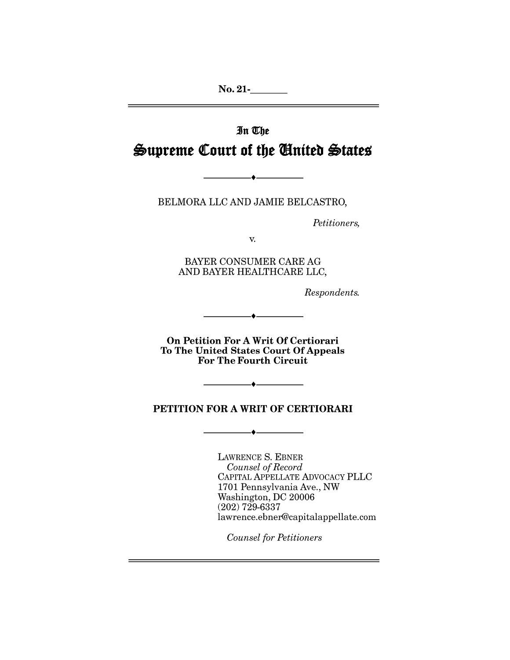$No. 21$ -

# In The Supreme Court of the United States

BELMORA LLC AND JAMIE BELCASTRO,

 $\bullet$  —

Petitioners,

V.

BAYER CONSUMER CARE AG AND BAYER HEALTHCARE LLC,

Respondents.

On Petition For A Writ Of Certiorari To The United States Court Of Appeals **For The Fourth Circuit** 

 $\blacklozenge$ 

## PETITION FOR A WRIT OF CERTIORARI

LAWRENCE S. EBNER Counsel of Record CAPITAL APPELLATE ADVOCACY PLLC 1701 Pennsylvania Ave., NW Washington, DC 20006  $(202)$  729-6337 lawrence.ebner@capitalappellate.com

**Counsel for Petitioners**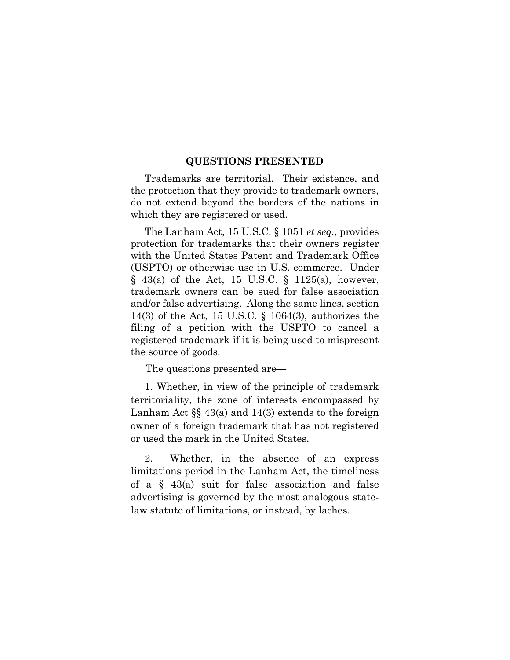#### **QUESTIONS PRESENTED**

 Trademarks are territorial. Their existence, and the protection that they provide to trademark owners, do not extend beyond the borders of the nations in which they are registered or used.

 The Lanham Act, 15 U.S.C. § 1051 *et seq.*, provides protection for trademarks that their owners register with the United States Patent and Trademark Office (USPTO) or otherwise use in U.S. commerce. Under  $§$  43(a) of the Act, 15 U.S.C. § 1125(a), however, trademark owners can be sued for false association and/or false advertising. Along the same lines, section 14(3) of the Act, 15 U.S.C. § 1064(3), authorizes the filing of a petition with the USPTO to cancel a registered trademark if it is being used to mispresent the source of goods.

The questions presented are—

 1. Whether, in view of the principle of trademark territoriality, the zone of interests encompassed by Lanham Act §§ 43(a) and 14(3) extends to the foreign owner of a foreign trademark that has not registered or used the mark in the United States.

 2. Whether, in the absence of an express limitations period in the Lanham Act, the timeliness of a § 43(a) suit for false association and false advertising is governed by the most analogous statelaw statute of limitations, or instead, by laches.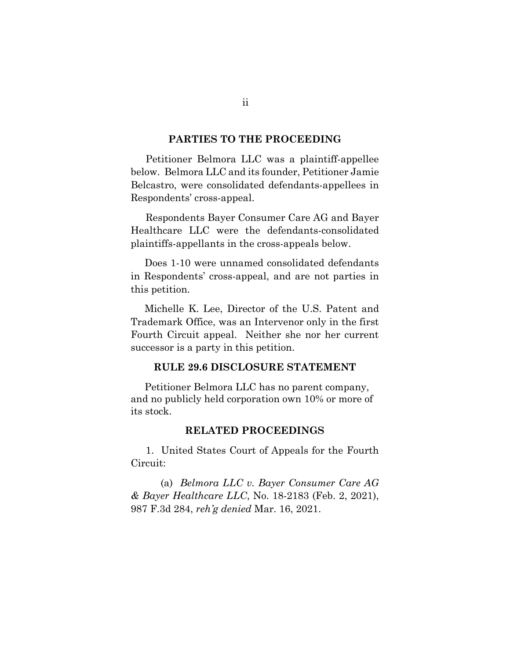### **PARTIES TO THE PROCEEDING**

Petitioner Belmora LLC was a plaintiff-appellee below. Belmora LLC and its founder, Petitioner Jamie Belcastro, were consolidated defendants-appellees in Respondents' cross-appeal.

Respondents Bayer Consumer Care AG and Bayer Healthcare LLC were the defendants-consolidated plaintiffs-appellants in the cross-appeals below.

 Does 1-10 were unnamed consolidated defendants in Respondents' cross-appeal, and are not parties in this petition.

 Michelle K. Lee, Director of the U.S. Patent and Trademark Office, was an Intervenor only in the first Fourth Circuit appeal. Neither she nor her current successor is a party in this petition.

### **RULE 29.6 DISCLOSURE STATEMENT**

 Petitioner Belmora LLC has no parent company, and no publicly held corporation own 10% or more of its stock.

### **RELATED PROCEEDINGS**

1. United States Court of Appeals for the Fourth Circuit:

 (a) *Belmora LLC v. Bayer Consumer Care AG & Bayer Healthcare LLC*, No. 18-2183 (Feb. 2, 2021), 987 F.3d 284, *reh'g denied* Mar. 16, 2021.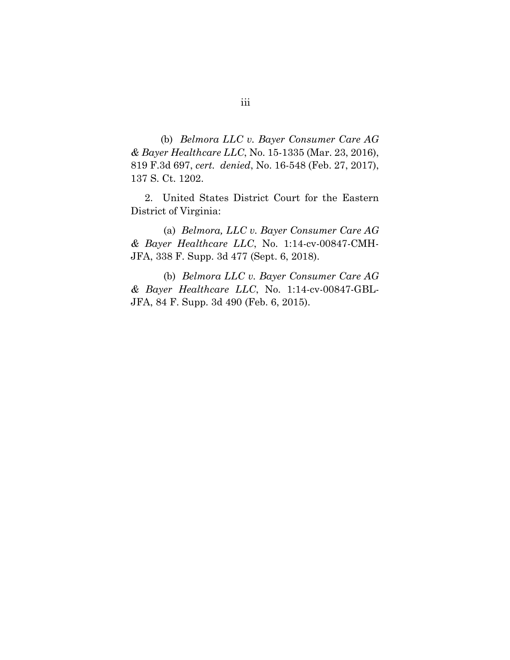(b) *Belmora LLC v. Bayer Consumer Care AG & Bayer Healthcare LLC*, No. 15-1335 (Mar. 23, 2016), 819 F.3d 697, *cert. denied*, No. 16-548 (Feb. 27, 2017), 137 S. Ct. 1202.

 2. United States District Court for the Eastern District of Virginia:

 (a) *Belmora, LLC v. Bayer Consumer Care AG & Bayer Healthcare LLC*, No. 1:14-cv-00847-CMH-JFA, 338 F. Supp. 3d 477 (Sept. 6, 2018).

 (b) *Belmora LLC v. Bayer Consumer Care AG & Bayer Healthcare LLC*, No. 1:14-cv-00847-GBL-JFA, 84 F. Supp. 3d 490 (Feb. 6, 2015).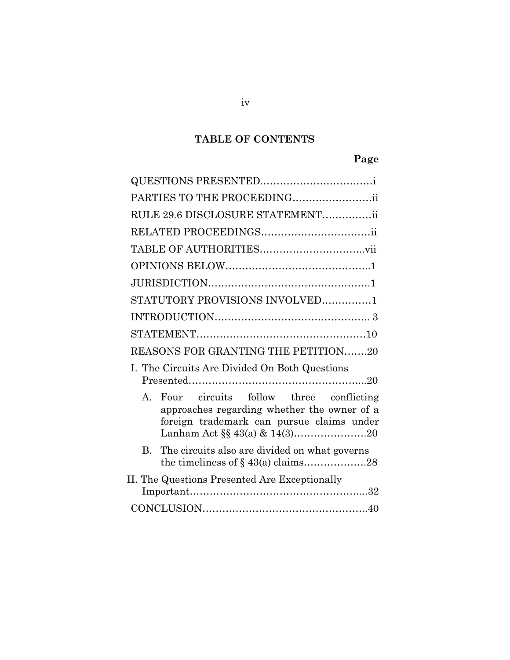# **TABLE OF CONTENTS**

# **Page**

| PARTIES TO THE PROCEEDINGii                                                                                                              |
|------------------------------------------------------------------------------------------------------------------------------------------|
| RULE 29.6 DISCLOSURE STATEMENTii                                                                                                         |
|                                                                                                                                          |
|                                                                                                                                          |
|                                                                                                                                          |
|                                                                                                                                          |
| STATUTORY PROVISIONS INVOLVED1                                                                                                           |
|                                                                                                                                          |
|                                                                                                                                          |
| REASONS FOR GRANTING THE PETITION20                                                                                                      |
| I. The Circuits Are Divided On Both Questions                                                                                            |
| Four circuits follow three conflicting<br>A.<br>approaches regarding whether the owner of a<br>foreign trademark can pursue claims under |
| The circuits also are divided on what governs<br>B.                                                                                      |
| II. The Questions Presented Are Exceptionally                                                                                            |
|                                                                                                                                          |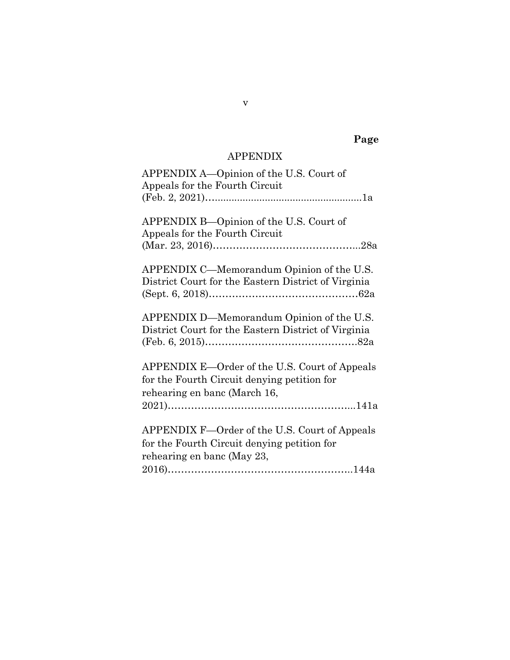# **Page**

# APPENDIX

| APPENDIX A—Opinion of the U.S. Court of<br>Appeals for the Fourth Circuit                                                    |
|------------------------------------------------------------------------------------------------------------------------------|
| APPENDIX B—Opinion of the U.S. Court of<br>Appeals for the Fourth Circuit                                                    |
| APPENDIX C—Memorandum Opinion of the U.S.<br>District Court for the Eastern District of Virginia                             |
| APPENDIX D—Memorandum Opinion of the U.S.<br>District Court for the Eastern District of Virginia                             |
| APPENDIX E—Order of the U.S. Court of Appeals<br>for the Fourth Circuit denying petition for<br>rehearing en banc (March 16, |
| APPENDIX F-Order of the U.S. Court of Appeals<br>for the Fourth Circuit denying petition for<br>rehearing en banc (May 23,   |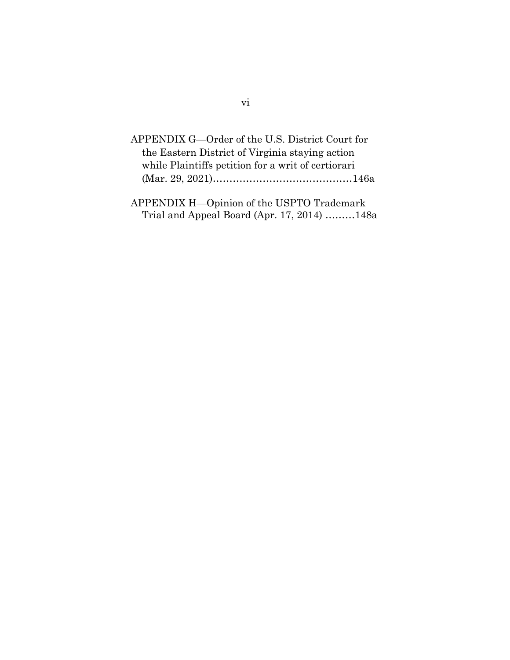| APPENDIX G—Order of the U.S. District Court for    |
|----------------------------------------------------|
| the Eastern District of Virginia staying action    |
| while Plaintiffs petition for a writ of certiorari |
|                                                    |
|                                                    |

APPENDIX H—Opinion of the USPTO Trademark Trial and Appeal Board (Apr. 17, 2014) ………148a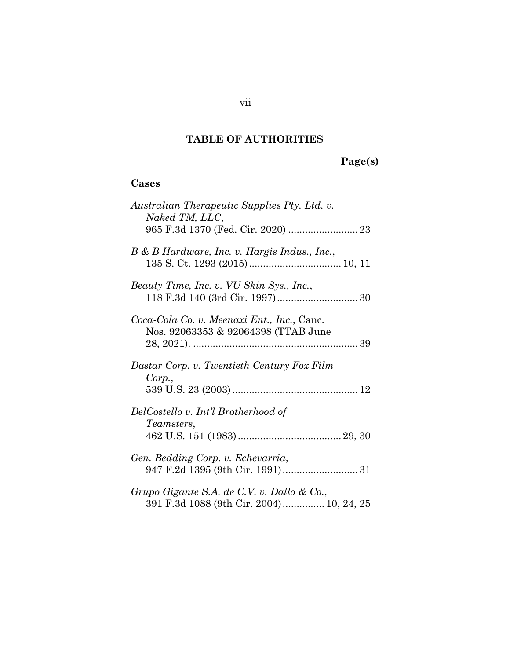# **TABLE OF AUTHORITIES**

# **Page(s)**

# **Cases**

| Australian Therapeutic Supplies Pty. Ltd. v.<br>Naked TM, LLC,                         |
|----------------------------------------------------------------------------------------|
| B & B Hardware, Inc. v. Hargis Indus., Inc.,                                           |
| Beauty Time, Inc. v. VU Skin Sys., Inc.,                                               |
| Coca-Cola Co. v. Meenaxi Ent., Inc., Canc.<br>Nos. 92063353 & 92064398 (TTAB June      |
| Dastar Corp. v. Twentieth Century Fox Film<br>Corp.,                                   |
| DelCostello v. Int'l Brotherhood of<br><i>Teamsters,</i>                               |
| Gen. Bedding Corp. v. Echevarria,                                                      |
|                                                                                        |
| Grupo Gigante S.A. de C.V. v. Dallo & Co.,<br>391 F.3d 1088 (9th Cir. 2004) 10, 24, 25 |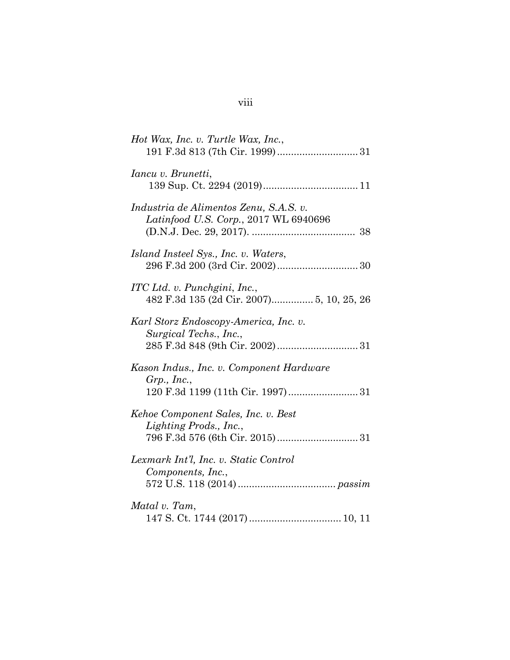| Hot Wax, Inc. v. Turtle Wax, Inc.,                                              |
|---------------------------------------------------------------------------------|
| Iancu v. Brunetti,                                                              |
| Industria de Alimentos Zenu, S.A.S. v.<br>Latinfood U.S. Corp., 2017 WL 6940696 |
| Island Insteel Sys., Inc. v. Waters,                                            |
| ITC Ltd. v. Punchgini, Inc.,                                                    |
| Karl Storz Endoscopy-America, Inc. v.<br>Surgical Techs., Inc.,                 |
| Kason Indus., Inc. v. Component Hardware<br>$Grp.$ , Inc.,                      |
| Kehoe Component Sales, Inc. v. Best<br>Lighting Prods., Inc.,                   |
| Lexmark Int'l, Inc. v. Static Control<br>Components, Inc.,                      |
| Matal v. Tam,                                                                   |

# viii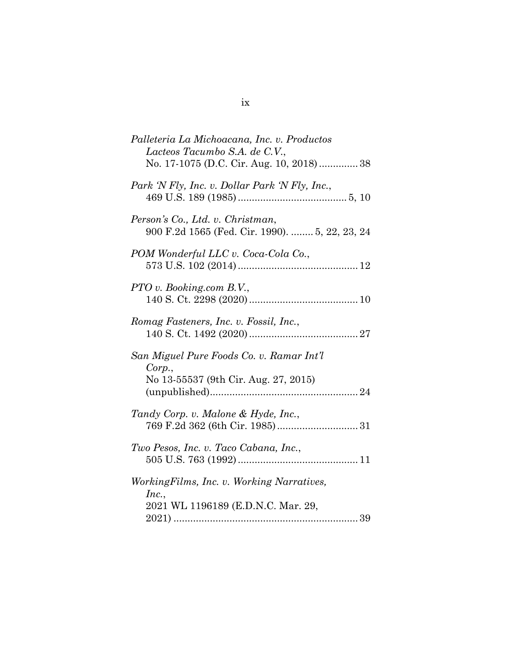| Palleteria La Michoacana, Inc. v. Productos<br>Lacteos Tacumbo S.A. de C.V.,<br>No. 17-1075 (D.C. Cir. Aug. 10, 2018)  38 |  |
|---------------------------------------------------------------------------------------------------------------------------|--|
| Park 'N Fly, Inc. v. Dollar Park 'N Fly, Inc.,                                                                            |  |
| Person's Co., Ltd. v. Christman,<br>900 F.2d 1565 (Fed. Cir. 1990).  5, 22, 23, 24                                        |  |
| POM Wonderful LLC v. Coca-Cola Co.,                                                                                       |  |
| PTO v. Booking.com B.V.,                                                                                                  |  |
| Romag Fasteners, Inc. v. Fossil, Inc.,                                                                                    |  |
| San Miguel Pure Foods Co. v. Ramar Int'l<br>Corp.,<br>No 13-55537 (9th Cir. Aug. 27, 2015)                                |  |
| Tandy Corp. v. Malone & Hyde, Inc.,                                                                                       |  |
| Two Pesos, Inc. v. Taco Cabana, Inc.,                                                                                     |  |
| Working Films, Inc. v. Working Narratives,<br>Inc.,<br>2021 WL 1196189 (E.D.N.C. Mar. 29,                                 |  |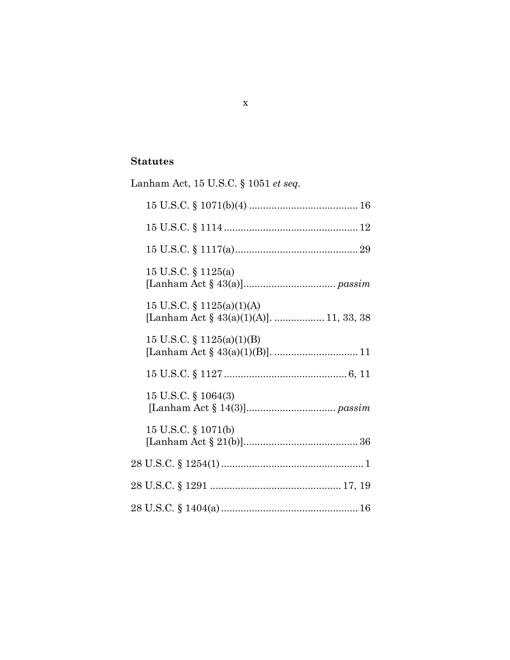## **Statutes**

| Lanham Act, 15 U.S.C. § 1051 et seq.                                    |
|-------------------------------------------------------------------------|
|                                                                         |
|                                                                         |
|                                                                         |
| 15 U.S.C. $\S$ 1125(a)                                                  |
| 15 U.S.C. $\S$ 1125(a)(1)(A)<br>[Lanham Act § 43(a)(1)(A)].  11, 33, 38 |
| 15 U.S.C. $\S$ 1125(a)(1)(B)                                            |
|                                                                         |
| 15 U.S.C. § 1064(3)                                                     |
| 15 U.S.C. § 1071(b)                                                     |
|                                                                         |
|                                                                         |
|                                                                         |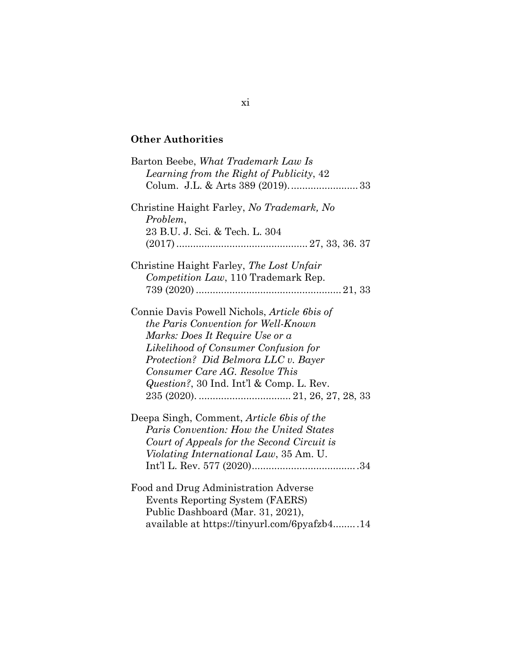# **Other Authorities**

| Barton Beebe, What Trademark Law Is<br>Learning from the Right of Publicity, 42                                                                                                                                                                                                                     |
|-----------------------------------------------------------------------------------------------------------------------------------------------------------------------------------------------------------------------------------------------------------------------------------------------------|
| Christine Haight Farley, No Trademark, No<br>Problem,<br>23 B.U. J. Sci. & Tech. L. 304                                                                                                                                                                                                             |
|                                                                                                                                                                                                                                                                                                     |
| Christine Haight Farley, The Lost Unfair<br>Competition Law, 110 Trademark Rep.                                                                                                                                                                                                                     |
| Connie Davis Powell Nichols, <i>Article 6bis of</i><br>the Paris Convention for Well-Known<br>Marks: Does It Require Use or a<br>Likelihood of Consumer Confusion for<br>Protection? Did Belmora LLC v. Bayer<br>Consumer Care AG. Resolve This<br><i>Question?</i> , 30 Ind. Int'l & Comp. L. Rev. |
| Deepa Singh, Comment, <i>Article 6bis of the</i><br>Paris Convention: How the United States<br>Court of Appeals for the Second Circuit is<br>Violating International Law, 35 Am. U.                                                                                                                 |
| Food and Drug Administration Adverse<br>Events Reporting System (FAERS)<br>Public Dashboard (Mar. 31, 2021),<br>available at https://tinyurl.com/6pyafzb414                                                                                                                                         |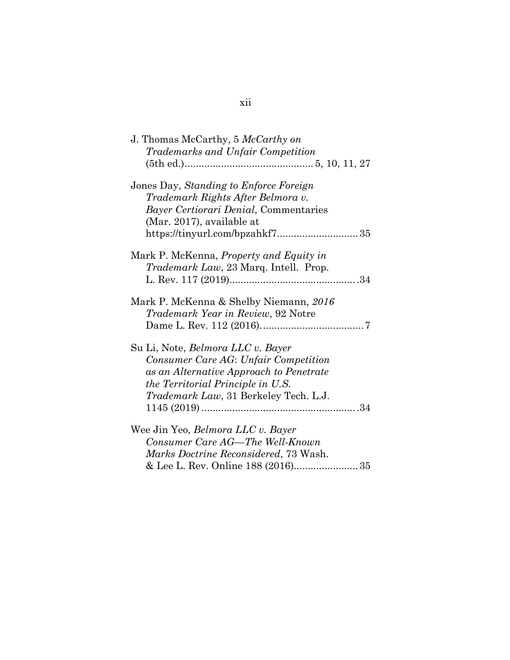| J. Thomas McCarthy, 5 McCarthy on             |  |
|-----------------------------------------------|--|
| Trademarks and Unfair Competition             |  |
|                                               |  |
| Jones Day, Standing to Enforce Foreign        |  |
| Trademark Rights After Belmora v.             |  |
| Bayer Certiorari Denial, Commentaries         |  |
| (Mar. 2017), available at                     |  |
|                                               |  |
| Mark P. McKenna, Property and Equity in       |  |
| <i>Trademark Law</i> , 23 Marq. Intell. Prop. |  |
|                                               |  |
| Mark P. McKenna & Shelby Niemann, 2016        |  |
| Trademark Year in Review, 92 Notre            |  |
|                                               |  |
| Su Li, Note, <i>Belmora LLC v. Bayer</i>      |  |
| Consumer Care AG: Unfair Competition          |  |
| as an Alternative Approach to Penetrate       |  |
| the Territorial Principle in U.S.             |  |
| Trademark Law, 31 Berkeley Tech. L.J.         |  |
|                                               |  |
| Wee Jin Yeo, Belmora LLC v. Bayer             |  |
| Consumer Care AG-The Well-Known               |  |
| <i>Marks Doctrine Reconsidered, 73 Wash.</i>  |  |
|                                               |  |

# xii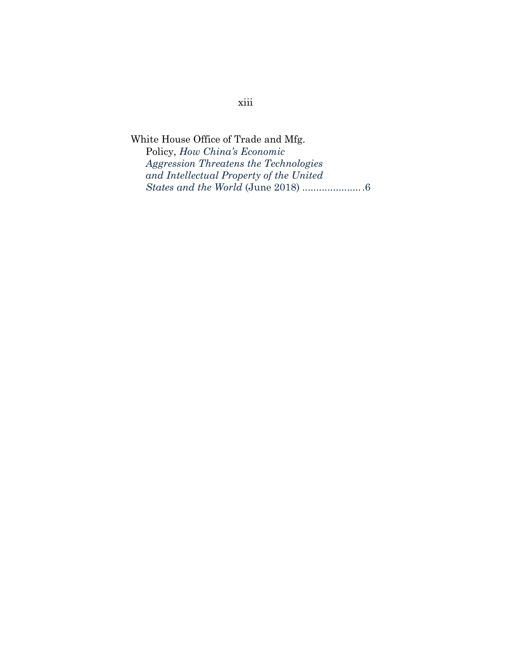White House Office of Trade and Mfg. Policy, *How China's Economic Aggression Threatens the Technologies and Intellectual Property of the United States and the World* (June 2018) ......................6

# xiii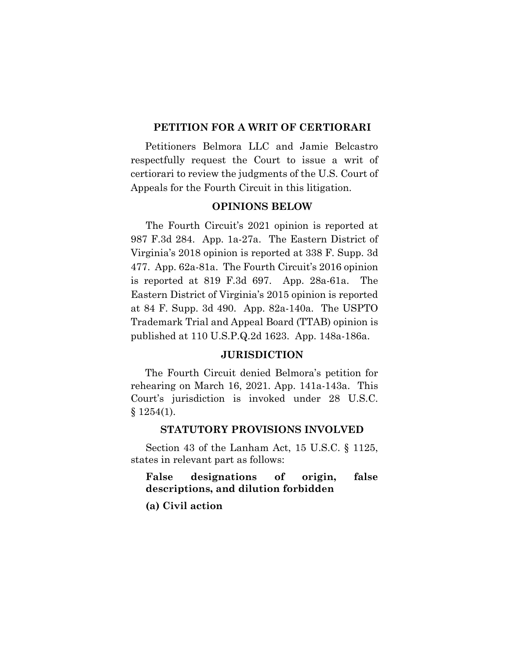#### **PETITION FOR A WRIT OF CERTIORARI**

Petitioners Belmora LLC and Jamie Belcastro respectfully request the Court to issue a writ of certiorari to review the judgments of the U.S. Court of Appeals for the Fourth Circuit in this litigation.

### **OPINIONS BELOW**

The Fourth Circuit's 2021 opinion is reported at 987 F.3d 284. App. 1a-27a. The Eastern District of Virginia's 2018 opinion is reported at 338 F. Supp. 3d 477. App. 62a-81a. The Fourth Circuit's 2016 opinion is reported at 819 F.3d 697. App. 28a-61a. The Eastern District of Virginia's 2015 opinion is reported at 84 F. Supp. 3d 490. App. 82a-140a. The USPTO Trademark Trial and Appeal Board (TTAB) opinion is published at 110 U.S.P.Q.2d 1623. App. 148a-186a.

#### <span id="page-14-1"></span>**JURISDICTION**

The Fourth Circuit denied Belmora's petition for rehearing on March 16, 2021. App. 141a-143a. This Court's jurisdiction is invoked under 28 U.S.C. § 1254(1).

#### <span id="page-14-0"></span>**STATUTORY PROVISIONS INVOLVED**

Section 43 of the Lanham Act, 15 U.S.C. § 1125, states in relevant part as follows:

## **False designations of origin, false descriptions, and dilution forbidden**

**(a) Civil action**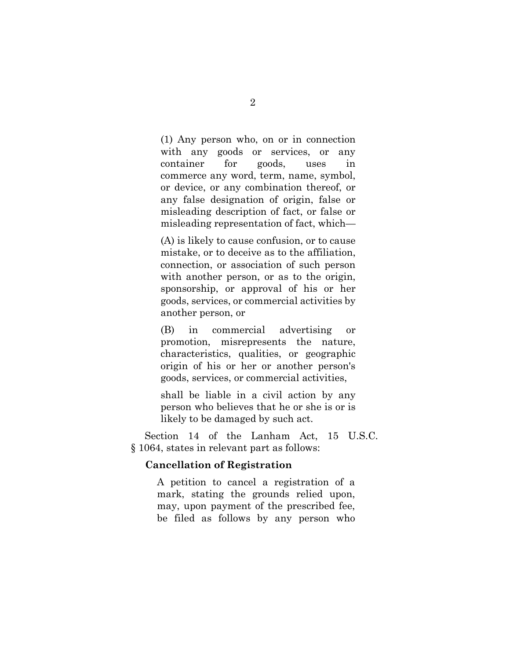(1) Any person who, on or in connection with any goods or services, or any container for goods, uses in commerce any word, term, name, symbol, or device, or any combination thereof, or any false designation of origin, false or misleading description of fact, or false or misleading representation of fact, which—

 (A) is likely to cause confusion, or to cause mistake, or to deceive as to the affiliation, connection, or association of such person with another person, or as to the origin, sponsorship, or approval of his or her goods, services, or commercial activities by another person, or

 (B) in commercial advertising or promotion, misrepresents the nature, characteristics, qualities, or geographic origin of his or her or another person's goods, services, or commercial activities,

 shall be liable in a civil action by any person who believes that he or she is or is likely to be damaged by such act.

<span id="page-15-0"></span> Section 14 of the Lanham Act, 15 U.S.C. § 1064, states in relevant part as follows:

### **Cancellation of Registration**

A petition to cancel a registration of a mark, stating the grounds relied upon, may, upon payment of the prescribed fee, be filed as follows by any person who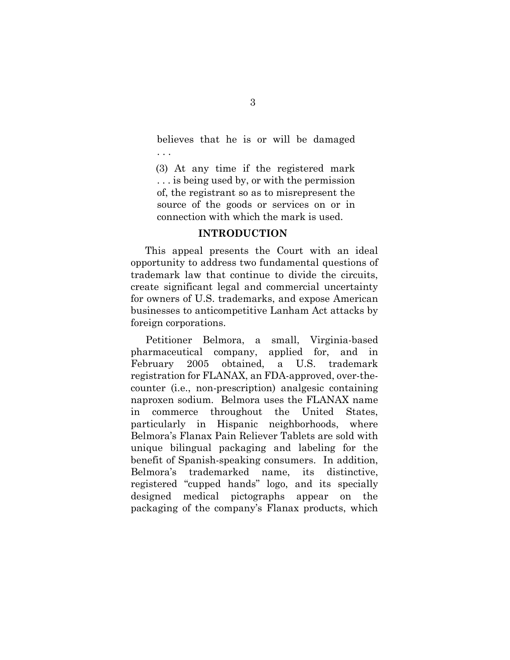believes that he is or will be damaged . . .

 (3) At any time if the registered mark . . . is being used by, or with the permission of, the registrant so as to misrepresent the source of the goods or services on or in connection with which the mark is used.

### **INTRODUCTION**

This appeal presents the Court with an ideal opportunity to address two fundamental questions of trademark law that continue to divide the circuits, create significant legal and commercial uncertainty for owners of U.S. trademarks, and expose American businesses to anticompetitive Lanham Act attacks by foreign corporations.

 Petitioner Belmora, a small, Virginia-based pharmaceutical company, applied for, and in February 2005 obtained, a U.S. trademark registration for FLANAX, an FDA-approved, over-thecounter (i.e., non-prescription) analgesic containing naproxen sodium. Belmora uses the FLANAX name in commerce throughout the United States, particularly in Hispanic neighborhoods, where Belmora's Flanax Pain Reliever Tablets are sold with unique bilingual packaging and labeling for the benefit of Spanish-speaking consumers. In addition, Belmora's trademarked name, its distinctive, registered "cupped hands" logo, and its specially designed medical pictographs appear on the packaging of the company's Flanax products, which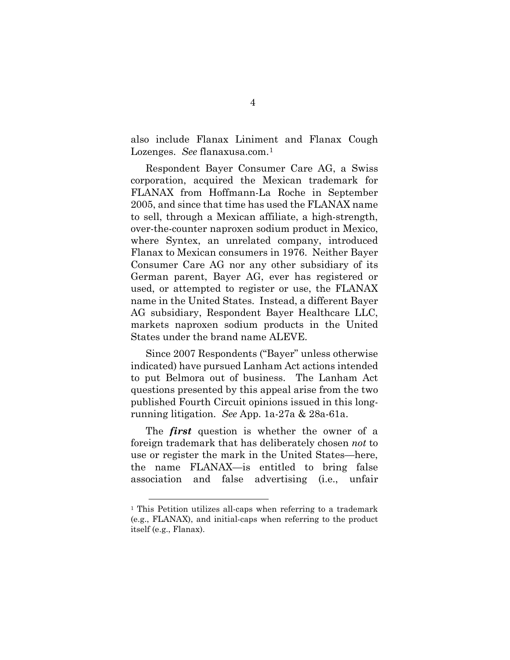also include Flanax Liniment and Flanax Cough Lozenges. *See* flanaxusa.com.<sup>[1](#page-17-0)</sup>

Respondent Bayer Consumer Care AG, a Swiss corporation, acquired the Mexican trademark for FLANAX from Hoffmann-La Roche in September 2005, and since that time has used the FLANAX name to sell, through a Mexican affiliate, a high-strength, over-the-counter naproxen sodium product in Mexico, where Syntex, an unrelated company, introduced Flanax to Mexican consumers in 1976. Neither Bayer Consumer Care AG nor any other subsidiary of its German parent, Bayer AG, ever has registered or used, or attempted to register or use, the FLANAX name in the United States. Instead, a different Bayer AG subsidiary, Respondent Bayer Healthcare LLC, markets naproxen sodium products in the United States under the brand name ALEVE.

 Since 2007 Respondents ("Bayer" unless otherwise indicated) have pursued Lanham Act actions intended to put Belmora out of business. The Lanham Act questions presented by this appeal arise from the two published Fourth Circuit opinions issued in this longrunning litigation. *See* App. 1a-27a & 28a-61a.

The *first* question is whether the owner of a foreign trademark that has deliberately chosen *not* to use or register the mark in the United States—here, the name FLANAX—is entitled to bring false association and false advertising (i.e., unfair

<span id="page-17-0"></span><sup>&</sup>lt;sup>1</sup> This Petition utilizes all-caps when referring to a trademark (e.g., FLANAX), and initial-caps when referring to the product itself (e.g., Flanax).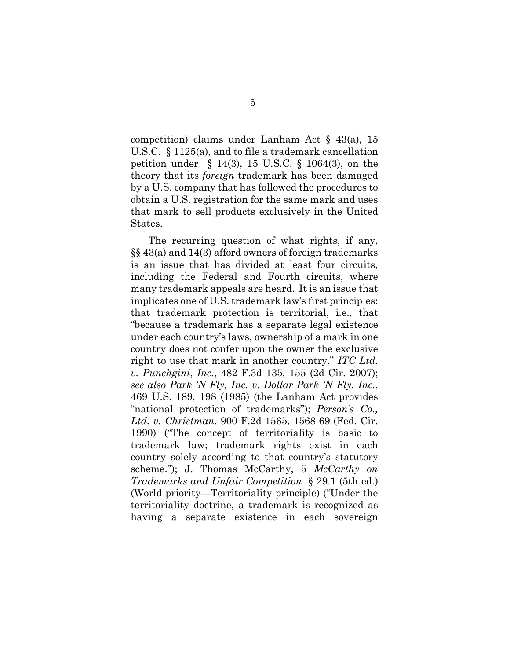competition) claims under Lanham Act § 43(a), 15 U.S.C. § 1125(a), and to file a trademark cancellation petition under § 14(3), 15 U.S.C. § 1064(3), on the theory that its *foreign* trademark has been damaged by a U.S. company that has followed the procedures to obtain a U.S. registration for the same mark and uses that mark to sell products exclusively in the United States.

<span id="page-18-3"></span><span id="page-18-2"></span><span id="page-18-1"></span><span id="page-18-0"></span> The recurring question of what rights, if any, §§ 43(a) and 14(3) afford owners of foreign trademarks is an issue that has divided at least four circuits, including the Federal and Fourth circuits, where many trademark appeals are heard. It is an issue that implicates one of U.S. trademark law's first principles: that trademark protection is territorial, i.e., that "because a trademark has a separate legal existence under each country's laws, ownership of a mark in one country does not confer upon the owner the exclusive right to use that mark in another country." *ITC Ltd. v. Punchgini*, *Inc.*, 482 F.3d 135, 155 (2d Cir. 2007); *see also Park 'N Fly, Inc. v. Dollar Park 'N Fly, Inc.*, 469 U.S. 189, 198 (1985) (the Lanham Act provides "national protection of trademarks"); *Person's Co., Ltd. v. Christman*, 900 F.2d 1565, 1568-69 (Fed. Cir. 1990) ("The concept of territoriality is basic to trademark law; trademark rights exist in each country solely according to that country's statutory scheme."); J. Thomas McCarthy, 5 *McCarthy on Trademarks and Unfair Competition* § 29.1 (5th ed.) (World priority—Territoriality principle) ("Under the territoriality doctrine, a trademark is recognized as having a separate existence in each sovereign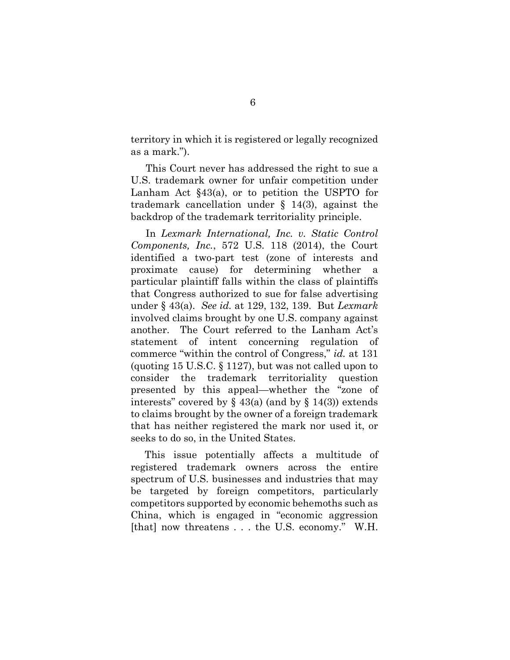territory in which it is registered or legally recognized as a mark.").

This Court never has addressed the right to sue a U.S. trademark owner for unfair competition under Lanham Act §43(a), or to petition the USPTO for trademark cancellation under § 14(3), against the backdrop of the trademark territoriality principle.

<span id="page-19-0"></span>In *Lexmark International, Inc. v. Static Control Components, Inc.*, 572 U.S. 118 (2014), the Court identified a two-part test (zone of interests and proximate cause) for determining whether a particular plaintiff falls within the class of plaintiffs that Congress authorized to sue for false advertising under § 43(a). *See id.* at 129, 132, 139. But *Lexmark* involved claims brought by one U.S. company against another. The Court referred to the Lanham Act's statement of intent concerning regulation of commerce "within the control of Congress," *id.* at 131 (quoting 15 U.S.C. § 1127), but was not called upon to consider the trademark territoriality question presented by this appeal—whether the "zone of interests" covered by  $\S$  43(a) (and by  $\S$  14(3)) extends to claims brought by the owner of a foreign trademark that has neither registered the mark nor used it, or seeks to do so, in the United States.

<span id="page-19-1"></span> This issue potentially affects a multitude of registered trademark owners across the entire spectrum of U.S. businesses and industries that may be targeted by foreign competitors, particularly competitors supported by economic behemoths such as China, which is engaged in "economic aggression [that] now threatens . . . the U.S. economy." W.H.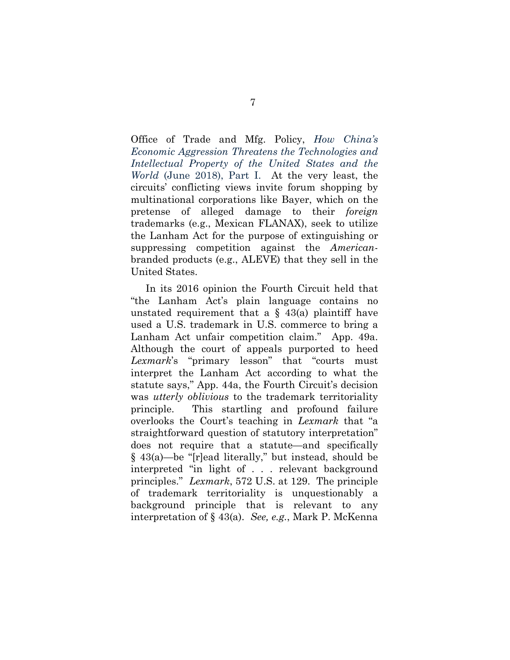Office of Trade and Mfg. Policy, *How China's Economic Aggression Threatens the Technologies and Intellectual Property of the United States and the World* (June 2018), Part I. At the very least, the circuits' conflicting views invite forum shopping by multinational corporations like Bayer, which on the pretense of alleged damage to their *foreign* trademarks (e.g., Mexican FLANAX), seek to utilize the Lanham Act for the purpose of extinguishing or suppressing competition against the *American*branded products (e.g., ALEVE) that they sell in the United States.

<span id="page-20-0"></span>In its 2016 opinion the Fourth Circuit held that "the Lanham Act's plain language contains no unstated requirement that a  $\S$  43(a) plaintiff have used a U.S. trademark in U.S. commerce to bring a Lanham Act unfair competition claim." App. 49a. Although the court of appeals purported to heed *Lexmark*'s "primary lesson" that "courts must interpret the Lanham Act according to what the statute says," App. 44a, the Fourth Circuit's decision was *utterly oblivious* to the trademark territoriality principle. This startling and profound failure overlooks the Court's teaching in *Lexmark* that "a straightforward question of statutory interpretation" does not require that a statute—and specifically § 43(a)—be "[r]ead literally," but instead, should be interpreted "in light of . . . relevant background principles." *Lexmark*, 572 U.S. at 129. The principle of trademark territoriality is unquestionably a background principle that is relevant to any interpretation of § 43(a). *See, e.g.*, Mark P. McKenna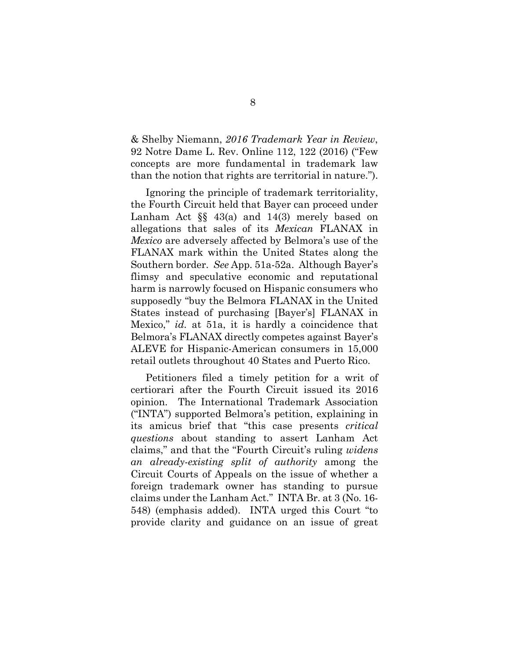& Shelby Niemann, *2016 Trademark Year in Review*, 92 Notre Dame L. Rev. Online 112, 122 (2016) ("Few concepts are more fundamental in trademark law than the notion that rights are territorial in nature.").

Ignoring the principle of trademark territoriality, the Fourth Circuit held that Bayer can proceed under Lanham Act  $\S$  43(a) and 14(3) merely based on allegations that sales of its *Mexican* FLANAX in *Mexico* are adversely affected by Belmora's use of the FLANAX mark within the United States along the Southern border. *See* App. 51a-52a. Although Bayer's flimsy and speculative economic and reputational harm is narrowly focused on Hispanic consumers who supposedly "buy the Belmora FLANAX in the United States instead of purchasing [Bayer's] FLANAX in Mexico," *id.* at 51a, it is hardly a coincidence that Belmora's FLANAX directly competes against Bayer's ALEVE for Hispanic-American consumers in 15,000 retail outlets throughout 40 States and Puerto Rico.

Petitioners filed a timely petition for a writ of certiorari after the Fourth Circuit issued its 2016 opinion. The International Trademark Association ("INTA") supported Belmora's petition, explaining in its amicus brief that "this case presents *critical questions* about standing to assert Lanham Act claims," and that the "Fourth Circuit's ruling *widens an already-existing split of authority* among the Circuit Courts of Appeals on the issue of whether a foreign trademark owner has standing to pursue claims under the Lanham Act." INTA Br. at 3 (No. 16- 548) (emphasis added). INTA urged this Court "to provide clarity and guidance on an issue of great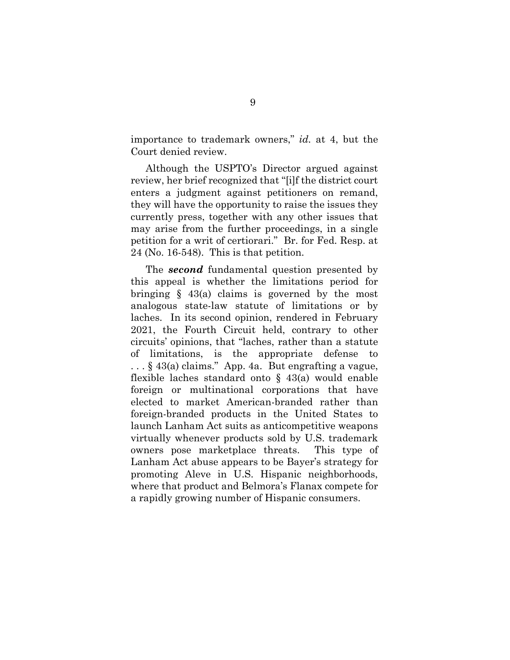importance to trademark owners," *id.* at 4, but the Court denied review.

Although the USPTO's Director argued against review, her brief recognized that "[i]f the district court enters a judgment against petitioners on remand, they will have the opportunity to raise the issues they currently press, together with any other issues that may arise from the further proceedings, in a single petition for a writ of certiorari." Br. for Fed. Resp. at 24 (No. 16-548). This is that petition.

The *second* fundamental question presented by this appeal is whether the limitations period for bringing § 43(a) claims is governed by the most analogous state-law statute of limitations or by laches. In its second opinion, rendered in February 2021, the Fourth Circuit held, contrary to other circuits' opinions, that "laches, rather than a statute of limitations, is the appropriate defense to . . . § 43(a) claims." App. 4a. But engrafting a vague, flexible laches standard onto  $\S$  43(a) would enable foreign or multinational corporations that have elected to market American-branded rather than foreign-branded products in the United States to launch Lanham Act suits as anticompetitive weapons virtually whenever products sold by U.S. trademark owners pose marketplace threats. This type of Lanham Act abuse appears to be Bayer's strategy for promoting Aleve in U.S. Hispanic neighborhoods, where that product and Belmora's Flanax compete for a rapidly growing number of Hispanic consumers.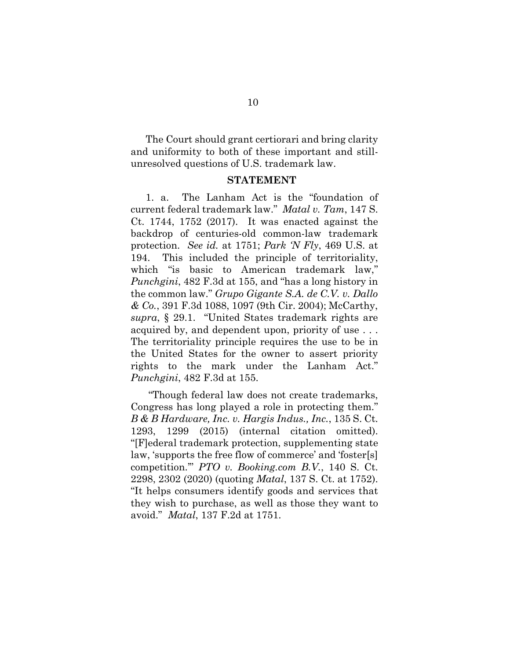The Court should grant certiorari and bring clarity and uniformity to both of these important and stillunresolved questions of U.S. trademark law.

### <span id="page-23-4"></span><span id="page-23-3"></span><span id="page-23-1"></span>**STATEMENT**

<span id="page-23-2"></span>1. a. The Lanham Act is the "foundation of current federal trademark law." *Matal v. Tam*, 147 S. Ct. 1744, 1752 (2017). It was enacted against the backdrop of centuries-old common-law trademark protection. *See id.* at 1751; *Park 'N Fly*, 469 U.S. at 194. This included the principle of territoriality, which "is basic to American trademark law," *Punchgini*, 482 F.3d at 155, and "has a long history in the common law." *Grupo Gigante S.A. de C.V. v. Dallo & Co.*, 391 F.3d 1088, 1097 (9th Cir. 2004); McCarthy, *supra*, § 29.1. "United States trademark rights are acquired by, and dependent upon, priority of use . . . The territoriality principle requires the use to be in the United States for the owner to assert priority rights to the mark under the Lanham Act." *Punchgini*, 482 F.3d at 155.

<span id="page-23-5"></span><span id="page-23-0"></span> "Though federal law does not create trademarks, Congress has long played a role in protecting them." *B & B Hardware, Inc. v. Hargis Indus., Inc.*, 135 S. Ct. 1293, 1299 (2015) (internal citation omitted). "[F]ederal trademark protection, supplementing state law, 'supports the free flow of commerce' and 'foster[s] competition.'" *PTO v. Booking.com B.V.*, 140 S. Ct. 2298, 2302 (2020) (quoting *Matal*, 137 S. Ct. at 1752). "It helps consumers identify goods and services that they wish to purchase, as well as those they want to avoid." *Matal*, 137 F.2d at 1751.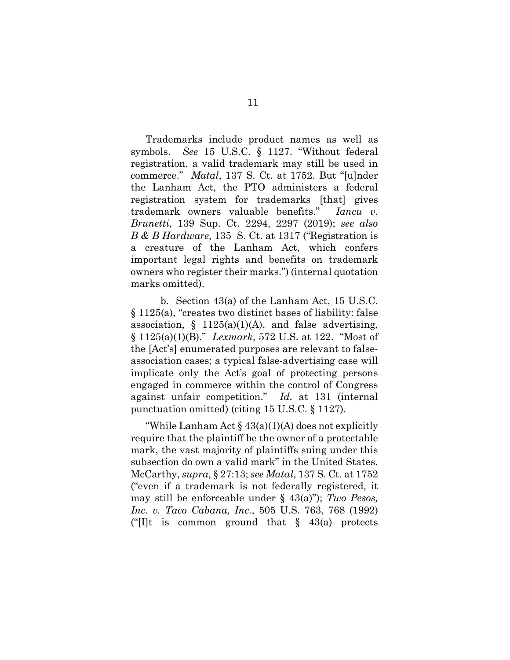<span id="page-24-2"></span><span id="page-24-1"></span>Trademarks include product names as well as symbols. *See* 15 U.S.C. § 1127. "Without federal registration, a valid trademark may still be used in commerce." *Matal*, 137 S. Ct. at 1752. But "[u]nder the Lanham Act, the PTO administers a federal registration system for trademarks [that] gives trademark owners valuable benefits." *Iancu v. Brunetti*, 139 Sup. Ct. 2294, 2297 (2019); *see also B & B Hardware*, 135 S. Ct. at 1317 ("Registration is a creature of the Lanham Act, which confers important legal rights and benefits on trademark owners who register their marks.") (internal quotation marks omitted).

<span id="page-24-0"></span> b. Section 43(a) of the Lanham Act, 15 U.S.C. § 1125(a), "creates two distinct bases of liability: false association, § 1125(a)(1)(A), and false advertising, § 1125(a)(1)(B)." *Lexmark*, 572 U.S. at 122. "Most of the [Act's] enumerated purposes are relevant to falseassociation cases; a typical false-advertising case will implicate only the Act's goal of protecting persons engaged in commerce within the control of Congress against unfair competition." *Id.* at 131 (internal punctuation omitted) (citing 15 U.S.C. § 1127).

<span id="page-24-4"></span><span id="page-24-3"></span>"While Lanham Act  $\S$  43(a)(1)(A) does not explicitly require that the plaintiff be the owner of a protectable mark, the vast majority of plaintiffs suing under this subsection do own a valid mark" in the United States. McCarthy, *supra*, § 27:13; *see Matal*, 137 S. Ct. at 1752 ("even if a trademark is not federally registered, it may still be enforceable under § 43(a)"); *Two Pesos, Inc. v. Taco Cabana, Inc.*, 505 U.S. 763, 768 (1992) ("IIt is common ground that  $\S$  43(a) protects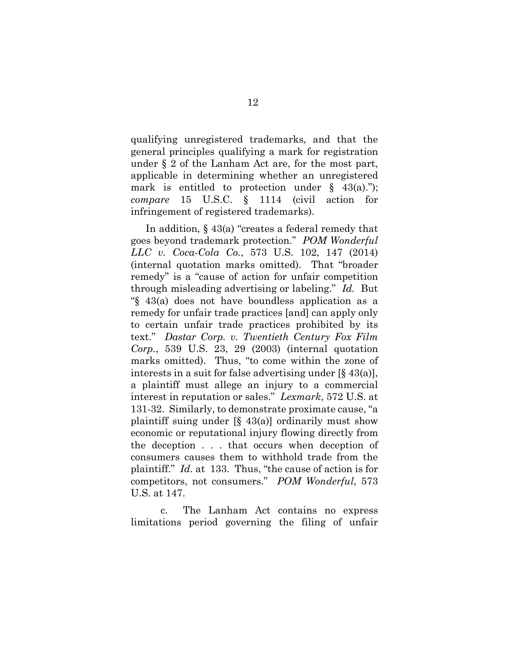qualifying unregistered trademarks, and that the general principles qualifying a mark for registration under § 2 of the Lanham Act are, for the most part, applicable in determining whether an unregistered mark is entitled to protection under  $\S$  43(a)."); *compare* 15 U.S.C. § 1114 (civil action for infringement of registered trademarks).

<span id="page-25-2"></span><span id="page-25-1"></span><span id="page-25-0"></span>In addition, § 43(a) "creates a federal remedy that goes beyond trademark protection." *POM Wonderful LLC v. Coca-Cola Co.*, 573 U.S. 102, 147 (2014) (internal quotation marks omitted). That "broader remedy" is a "cause of action for unfair competition through misleading advertising or labeling." *Id.* But "§ 43(a) does not have boundless application as a remedy for unfair trade practices [and] can apply only to certain unfair trade practices prohibited by its text." *Dastar Corp. v. Twentieth Century Fox Film Corp.*, 539 U.S. 23, 29 (2003) (internal quotation marks omitted). Thus, "to come within the zone of interests in a suit for false advertising under [§ 43(a)], a plaintiff must allege an injury to a commercial interest in reputation or sales." *Lexmark*, 572 U.S. at 131-32. Similarly, to demonstrate proximate cause, "a plaintiff suing under  $[\S 43(a)]$  ordinarily must show economic or reputational injury flowing directly from the deception . . . that occurs when deception of consumers causes them to withhold trade from the plaintiff." *Id.* at 133. Thus, "the cause of action is for competitors, not consumers." *POM Wonderful*, 573 U.S. at 147.

 c. The Lanham Act contains no express limitations period governing the filing of unfair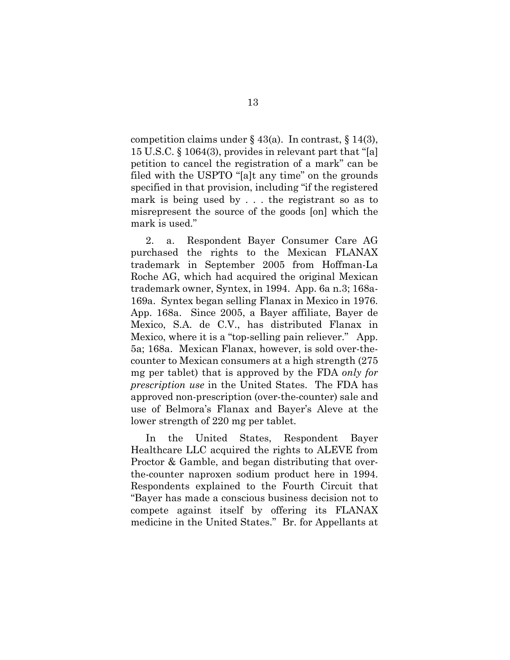competition claims under  $\S$  43(a). In contrast,  $\S$  14(3), 15 U.S.C. § 1064(3), provides in relevant part that "[a] petition to cancel the registration of a mark" can be filed with the USPTO "[a]t any time" on the grounds specified in that provision, including "if the registered mark is being used by . . . the registrant so as to misrepresent the source of the goods [on] which the mark is used."

2. a. Respondent Bayer Consumer Care AG purchased the rights to the Mexican FLANAX trademark in September 2005 from Hoffman-La Roche AG, which had acquired the original Mexican trademark owner, Syntex, in 1994. App. 6a n.3; 168a-169a. Syntex began selling Flanax in Mexico in 1976. App. 168a. Since 2005, a Bayer affiliate, Bayer de Mexico, S.A. de C.V., has distributed Flanax in Mexico, where it is a "top-selling pain reliever." App. 5a; 168a. Mexican Flanax, however, is sold over-thecounter to Mexican consumers at a high strength (275 mg per tablet) that is approved by the FDA *only for prescription use* in the United States. The FDA has approved non-prescription (over-the-counter) sale and use of Belmora's Flanax and Bayer's Aleve at the lower strength of 220 mg per tablet.

In the United States, Respondent Bayer Healthcare LLC acquired the rights to ALEVE from Proctor & Gamble, and began distributing that overthe-counter naproxen sodium product here in 1994. Respondents explained to the Fourth Circuit that "Bayer has made a conscious business decision not to compete against itself by offering its FLANAX medicine in the United States." Br. for Appellants at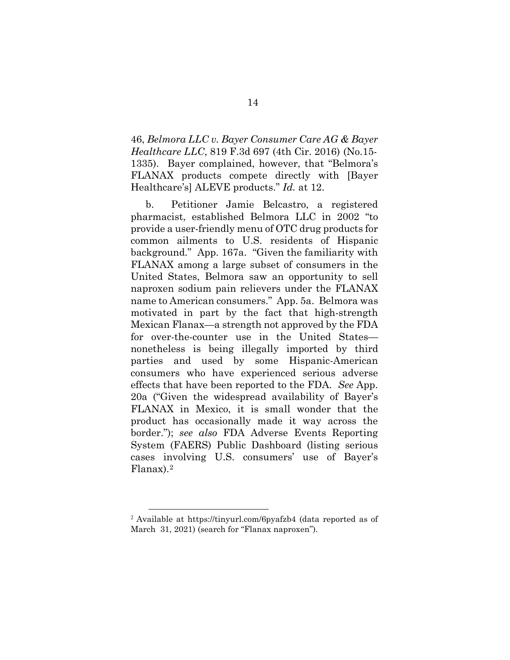46, *Belmora LLC v. Bayer Consumer Care AG & Bayer Healthcare LLC*, 819 F.3d 697 (4th Cir. 2016) (No.15- 1335). Bayer complained, however, that "Belmora's FLANAX products compete directly with [Bayer Healthcare's] ALEVE products." *Id.* at 12.

b. Petitioner Jamie Belcastro, a registered pharmacist, established Belmora LLC in 2002 "to provide a user-friendly menu of OTC drug products for common ailments to U.S. residents of Hispanic background." App. 167a. "Given the familiarity with FLANAX among a large subset of consumers in the United States, Belmora saw an opportunity to sell naproxen sodium pain relievers under the FLANAX name to American consumers." App. 5a. Belmora was motivated in part by the fact that high-strength Mexican Flanax—a strength not approved by the FDA for over-the-counter use in the United States nonetheless is being illegally imported by third parties and used by some Hispanic-American consumers who have experienced serious adverse effects that have been reported to the FDA. *See* App. 20a ("Given the widespread availability of Bayer's FLANAX in Mexico, it is small wonder that the product has occasionally made it way across the border."); *see also* FDA Adverse Events Reporting System (FAERS) Public Dashboard (listing serious cases involving U.S. consumers' use of Bayer's Flanax).[2](#page-27-0)

<span id="page-27-0"></span><sup>2</sup> Available at https://tinyurl.com/6pyafzb4 (data reported as of March 31, 2021) (search for "Flanax naproxen").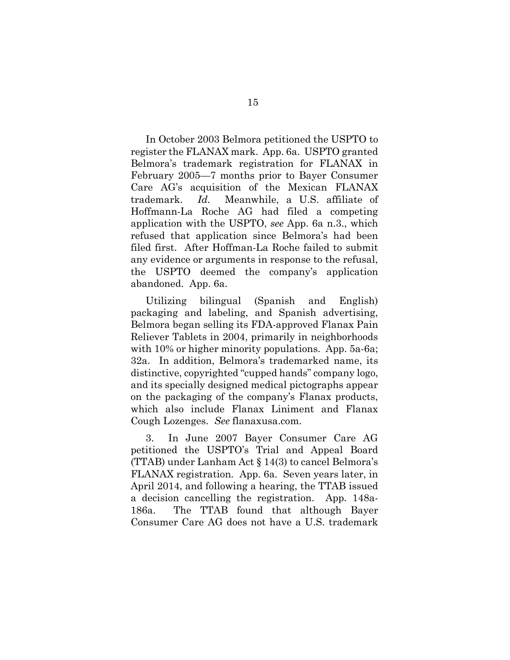In October 2003 Belmora petitioned the USPTO to register the FLANAX mark. App. 6a. USPTO granted Belmora's trademark registration for FLANAX in February 2005—7 months prior to Bayer Consumer Care AG's acquisition of the Mexican FLANAX trademark. *Id.* Meanwhile, a U.S. affiliate of Hoffmann-La Roche AG had filed a competing application with the USPTO, *see* App. 6a n.3., which refused that application since Belmora's had been filed first. After Hoffman-La Roche failed to submit any evidence or arguments in response to the refusal, the USPTO deemed the company's application abandoned. App. 6a.

Utilizing bilingual (Spanish and English) packaging and labeling, and Spanish advertising, Belmora began selling its FDA-approved Flanax Pain Reliever Tablets in 2004, primarily in neighborhoods with 10% or higher minority populations. App. 5a-6a; 32a. In addition, Belmora's trademarked name, its distinctive, copyrighted "cupped hands" company logo, and its specially designed medical pictographs appear on the packaging of the company's Flanax products, which also include Flanax Liniment and Flanax Cough Lozenges. *See* flanaxusa.com.

3. In June 2007 Bayer Consumer Care AG petitioned the USPTO's Trial and Appeal Board (TTAB) under Lanham Act § 14(3) to cancel Belmora's FLANAX registration. App. 6a. Seven years later, in April 2014, and following a hearing, the TTAB issued a decision cancelling the registration. App. 148a-186a. The TTAB found that although Bayer Consumer Care AG does not have a U.S. trademark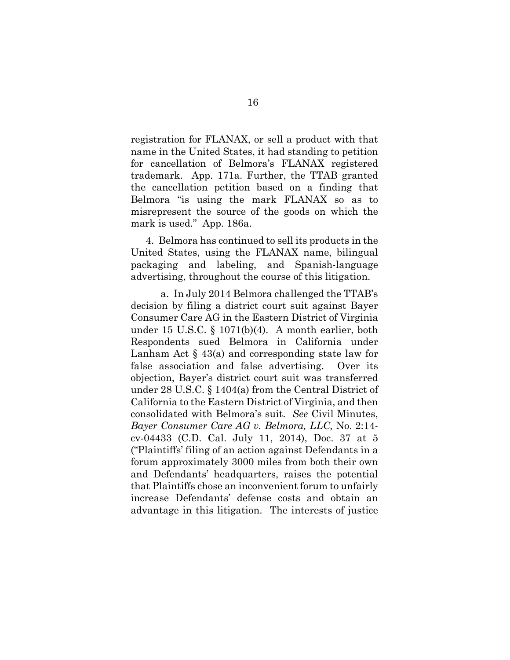registration for FLANAX, or sell a product with that name in the United States, it had standing to petition for cancellation of Belmora's FLANAX registered trademark. App. 171a. Further, the TTAB granted the cancellation petition based on a finding that Belmora "is using the mark FLANAX so as to misrepresent the source of the goods on which the mark is used." App. 186a.

4. Belmora has continued to sell its products in the United States, using the FLANAX name, bilingual packaging and labeling, and Spanish-language advertising, throughout the course of this litigation.

<span id="page-29-1"></span><span id="page-29-0"></span> a. In July 2014 Belmora challenged the TTAB's decision by filing a district court suit against Bayer Consumer Care AG in the Eastern District of Virginia under 15 U.S.C. § 1071(b)(4). A month earlier, both Respondents sued Belmora in California under Lanham Act § 43(a) and corresponding state law for false association and false advertising. Over its objection, Bayer's district court suit was transferred under 28 U.S.C. § 1404(a) from the Central District of California to the Eastern District of Virginia, and then consolidated with Belmora's suit. *See* Civil Minutes, *Bayer Consumer Care AG v. Belmora, LLC,* No. 2:14 cv-04433 (C.D. Cal. July 11, 2014), Doc. 37 at 5 ("Plaintiffs' filing of an action against Defendants in a forum approximately 3000 miles from both their own and Defendants' headquarters, raises the potential that Plaintiffs chose an inconvenient forum to unfairly increase Defendants' defense costs and obtain an advantage in this litigation. The interests of justice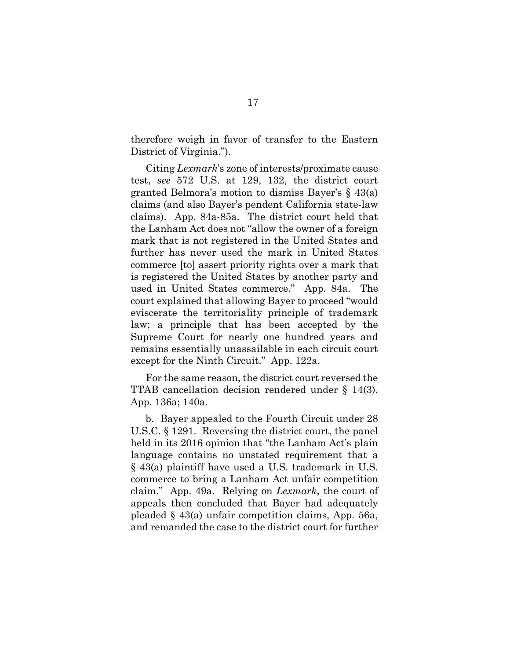therefore weigh in favor of transfer to the Eastern District of Virginia.").

Citing *Lexmark*'s zone of interests/proximate cause test, *see* 572 U.S. at 129, 132, the district court granted Belmora's motion to dismiss Bayer's § 43(a) claims (and also Bayer's pendent California state-law claims). App. 84a-85a. The district court held that the Lanham Act does not "allow the owner of a foreign mark that is not registered in the United States and further has never used the mark in United States commerce [to] assert priority rights over a mark that is registered the United States by another party and used in United States commerce." App. 84a.The court explained that allowing Bayer to proceed "would eviscerate the territoriality principle of trademark law; a principle that has been accepted by the Supreme Court for nearly one hundred years and remains essentially unassailable in each circuit court except for the Ninth Circuit." App. 122a.

For the same reason, the district court reversed the TTAB cancellation decision rendered under § 14(3). App. 136a; 140a.

<span id="page-30-0"></span>b. Bayer appealed to the Fourth Circuit under 28 U.S.C. § 1291. Reversing the district court, the panel held in its 2016 opinion that "the Lanham Act's plain language contains no unstated requirement that a § 43(a) plaintiff have used a U.S. trademark in U.S. commerce to bring a Lanham Act unfair competition claim." App. 49a. Relying on *Lexmark*, the court of appeals then concluded that Bayer had adequately pleaded § 43(a) unfair competition claims, App. 56a, and remanded the case to the district court for further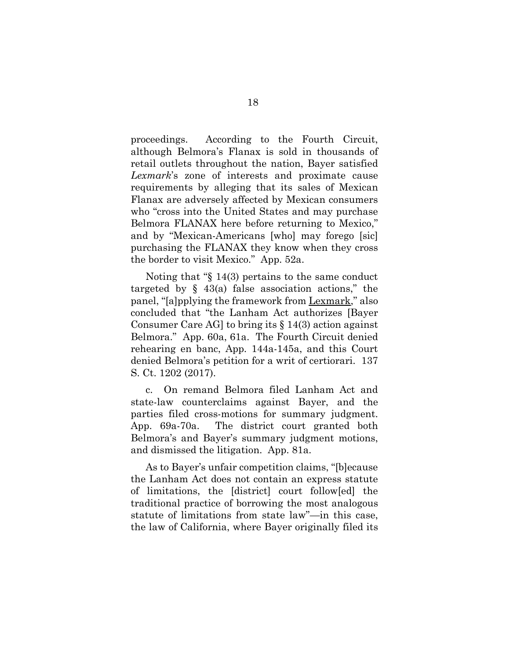proceedings. According to the Fourth Circuit, although Belmora's Flanax is sold in thousands of retail outlets throughout the nation, Bayer satisfied *Lexmark*'s zone of interests and proximate cause requirements by alleging that its sales of Mexican Flanax are adversely affected by Mexican consumers who "cross into the United States and may purchase Belmora FLANAX here before returning to Mexico," and by "Mexican-Americans [who] may forego [sic] purchasing the FLANAX they know when they cross the border to visit Mexico." App. 52a.

 Noting that "§ 14(3) pertains to the same conduct targeted by  $\S$  43(a) false association actions," the panel, "[a]pplying the framework from Lexmark," also concluded that "the Lanham Act authorizes [Bayer Consumer Care AG to bring its  $\S 14(3)$  action against Belmora." App. 60a, 61a. The Fourth Circuit denied rehearing en banc, App. 144a-145a, and this Court denied Belmora's petition for a writ of certiorari. 137 S. Ct. 1202 (2017).

c. On remand Belmora filed Lanham Act and state-law counterclaims against Bayer, and the parties filed cross-motions for summary judgment. App. 69a-70a. The district court granted both Belmora's and Bayer's summary judgment motions, and dismissed the litigation. App. 81a.

As to Bayer's unfair competition claims, "[b]ecause the Lanham Act does not contain an express statute of limitations, the [district] court follow[ed] the traditional practice of borrowing the most analogous statute of limitations from state law"—in this case, the law of California, where Bayer originally filed its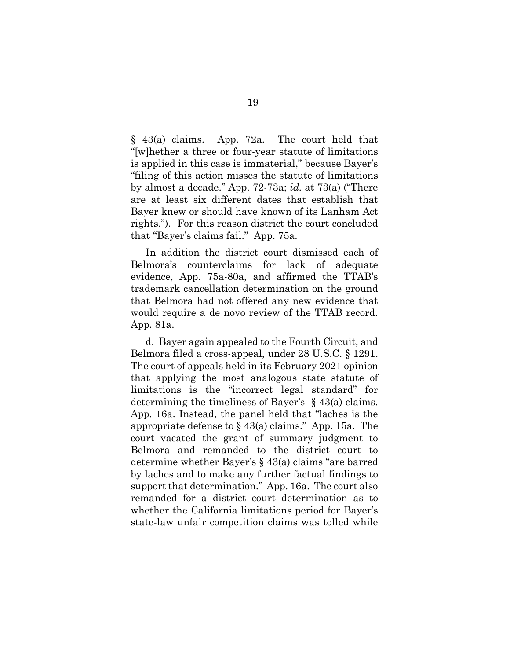§ 43(a) claims. App. 72a. The court held that "[w]hether a three or four-year statute of limitations is applied in this case is immaterial," because Bayer's "filing of this action misses the statute of limitations by almost a decade." App. 72-73a; *id.* at 73(a) ("There are at least six different dates that establish that Bayer knew or should have known of its Lanham Act rights."). For this reason district the court concluded that "Bayer's claims fail." App. 75a.

In addition the district court dismissed each of Belmora's counterclaims for lack of adequate evidence, App. 75a-80a, and affirmed the TTAB's trademark cancellation determination on the ground that Belmora had not offered any new evidence that would require a de novo review of the TTAB record. App. 81a.

<span id="page-32-0"></span>d. Bayer again appealed to the Fourth Circuit, and Belmora filed a cross-appeal, under 28 U.S.C. § 1291. The court of appeals held in its February 2021 opinion that applying the most analogous state statute of limitations is the "incorrect legal standard" for determining the timeliness of Bayer's § 43(a) claims. App. 16a. Instead, the panel held that "laches is the appropriate defense to § 43(a) claims." App. 15a.The court vacated the grant of summary judgment to Belmora and remanded to the district court to determine whether Bayer's § 43(a) claims "are barred by laches and to make any further factual findings to support that determination." App. 16a. The court also remanded for a district court determination as to whether the California limitations period for Bayer's state-law unfair competition claims was tolled while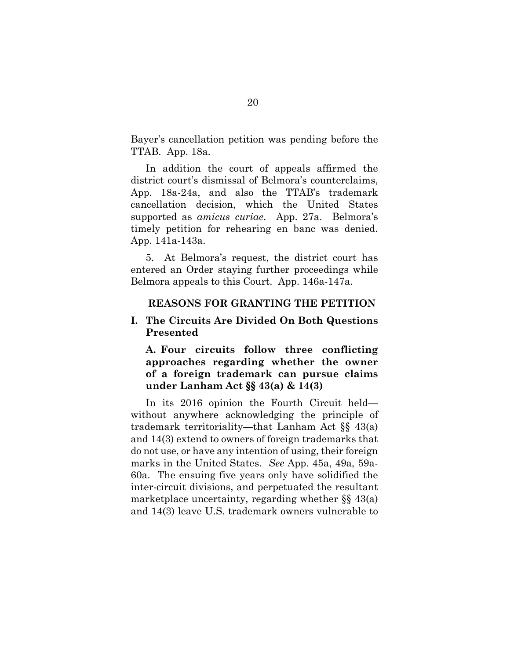Bayer's cancellation petition was pending before the TTAB. App. 18a.

In addition the court of appeals affirmed the district court's dismissal of Belmora's counterclaims, App. 18a-24a, and also the TTAB's trademark cancellation decision, which the United States supported as *amicus curiae*. App. 27a. Belmora's timely petition for rehearing en banc was denied. App. 141a-143a.

5. At Belmora's request, the district court has entered an Order staying further proceedings while Belmora appeals to this Court. App. 146a-147a.

#### **REASONS FOR GRANTING THE PETITION**

### **I. The Circuits Are Divided On Both Questions Presented**

**A. Four circuits follow three conflicting approaches regarding whether the owner of a foreign trademark can pursue claims under Lanham Act §§ 43(a) & 14(3)** 

In its 2016 opinion the Fourth Circuit held without anywhere acknowledging the principle of trademark territoriality—that Lanham Act §§ 43(a) and 14(3) extend to owners of foreign trademarks that do not use, or have any intention of using, their foreign marks in the United States. *See* App. 45a, 49a, 59a-60a. The ensuing five years only have solidified the inter-circuit divisions, and perpetuated the resultant marketplace uncertainty, regarding whether §§ 43(a) and 14(3) leave U.S. trademark owners vulnerable to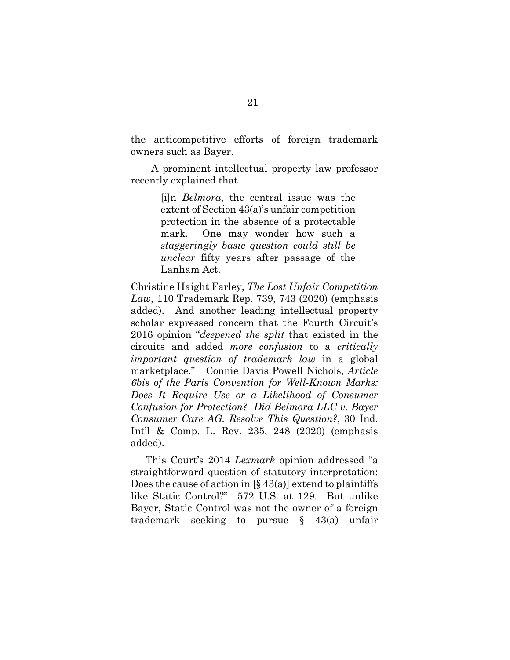the anticompetitive efforts of foreign trademark owners such as Bayer.

 A prominent intellectual property law professor recently explained that

> [i]n *Belmora*, the central issue was the extent of Section 43(a)'s unfair competition protection in the absence of a protectable mark. One may wonder how such a *staggeringly basic question could still be unclear* fifty years after passage of the Lanham Act.

Christine Haight Farley, *The Lost Unfair Competition Law*, 110 Trademark Rep. 739, 743 (2020) (emphasis added). And another leading intellectual property scholar expressed concern that the Fourth Circuit's 2016 opinion "*deepened the split* that existed in the circuits and added *more confusion* to a *critically important question of trademark law* in a global marketplace." Connie Davis Powell Nichols, *Article 6bis of the Paris Convention for Well-Known Marks: Does It Require Use or a Likelihood of Consumer Confusion for Protection? Did Belmora LLC v. Bayer Consumer Care AG. Resolve This Question?*, 30 Ind. Int'l & Comp. L. Rev. 235, 248 (2020) (emphasis added).

This Court's 2014 *Lexmark* opinion addressed "a straightforward question of statutory interpretation: Does the cause of action in  $[\S 43(a)]$  extend to plaintiffs like Static Control?" 572 U.S. at 129. But unlike Bayer, Static Control was not the owner of a foreign trademark seeking to pursue § 43(a) unfair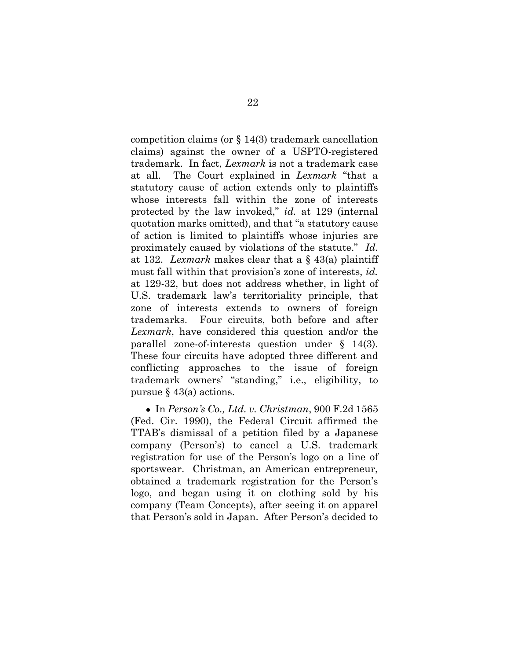competition claims (or § 14(3) trademark cancellation claims) against the owner of a USPTO-registered trademark. In fact, *Lexmark* is not a trademark case at all. The Court explained in *Lexmark* "that a statutory cause of action extends only to plaintiffs whose interests fall within the zone of interests protected by the law invoked," *id.* at 129 (internal quotation marks omitted), and that "a statutory cause of action is limited to plaintiffs whose injuries are proximately caused by violations of the statute." *Id.* at 132. *Lexmark* makes clear that a § 43(a) plaintiff must fall within that provision's zone of interests, *id.*  at 129-32, but does not address whether, in light of U.S. trademark law's territoriality principle, that zone of interests extends to owners of foreign trademarks. Four circuits, both before and after *Lexmark*, have considered this question and/or the parallel zone-of-interests question under § 14(3). These four circuits have adopted three different and conflicting approaches to the issue of foreign trademark owners' "standing," i.e., eligibility, to pursue  $\S$  43(a) actions.

<span id="page-35-0"></span>● In *Person's Co., Ltd. v. Christman*, 900 F.2d 1565 (Fed. Cir. 1990), the Federal Circuit affirmed the TTAB's dismissal of a petition filed by a Japanese company (Person's) to cancel a U.S. trademark registration for use of the Person's logo on a line of sportswear. Christman, an American entrepreneur, obtained a trademark registration for the Person's logo, and began using it on clothing sold by his company (Team Concepts), after seeing it on apparel that Person's sold in Japan. After Person's decided to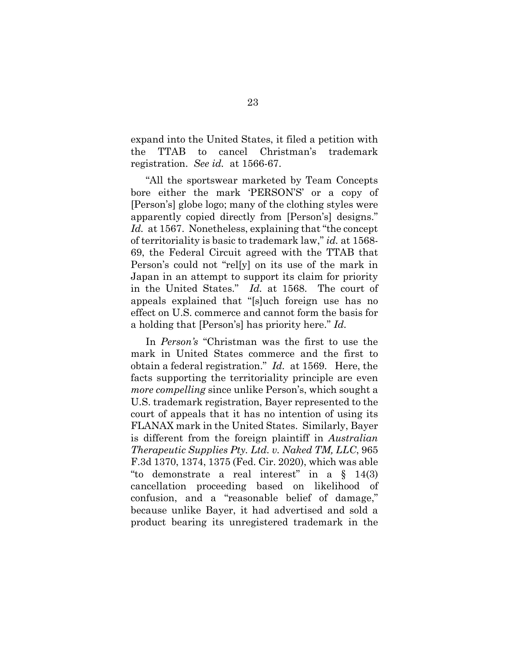expand into the United States, it filed a petition with the TTAB to cancel Christman's trademark registration. *See id.* at 1566-67.

<span id="page-36-1"></span> "All the sportswear marketed by Team Concepts bore either the mark 'PERSON'S' or a copy of [Person's] globe logo; many of the clothing styles were apparently copied directly from [Person's] designs." Id. at 1567. Nonetheless, explaining that "the concept" of territoriality is basic to trademark law," *id.* at 1568- 69, the Federal Circuit agreed with the TTAB that Person's could not "rel[y] on its use of the mark in Japan in an attempt to support its claim for priority in the United States." *Id.* at 1568. The court of appeals explained that "[s]uch foreign use has no effect on U.S. commerce and cannot form the basis for a holding that [Person's] has priority here." *Id.*

<span id="page-36-0"></span>In *Person's* "Christman was the first to use the mark in United States commerce and the first to obtain a federal registration." *Id.* at 1569. Here, the facts supporting the territoriality principle are even *more compelling* since unlike Person's, which sought a U.S. trademark registration, Bayer represented to the court of appeals that it has no intention of using its FLANAX mark in the United States. Similarly, Bayer is different from the foreign plaintiff in *Australian Therapeutic Supplies Pty. Ltd. v. Naked TM, LLC*, 965 F.3d 1370, 1374, 1375 (Fed. Cir. 2020), which was able "to demonstrate a real interest" in a § 14(3) cancellation proceeding based on likelihood of confusion, and a "reasonable belief of damage," because unlike Bayer, it had advertised and sold a product bearing its unregistered trademark in the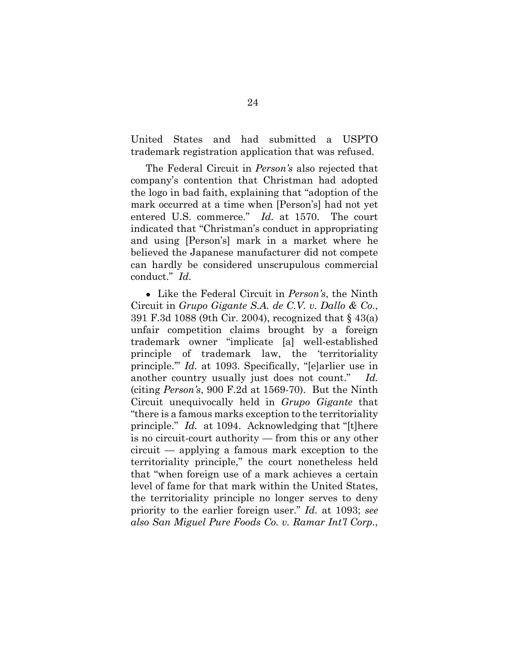United States and had submitted a USPTO trademark registration application that was refused.

<span id="page-37-1"></span> The Federal Circuit in *Person's* also rejected that company's contention that Christman had adopted the logo in bad faith, explaining that "adoption of the mark occurred at a time when [Person's] had not yet entered U.S. commerce." *Id.* at 1570. The court indicated that "Christman's conduct in appropriating and using [Person's] mark in a market where he believed the Japanese manufacturer did not compete can hardly be considered unscrupulous commercial conduct." *Id.*

<span id="page-37-2"></span><span id="page-37-0"></span>● Like the Federal Circuit in *Person's*, the Ninth Circuit in *Grupo Gigante S.A. de C.V. v. Dallo & Co.*, 391 F.3d 1088 (9th Cir. 2004), recognized that § 43(a) unfair competition claims brought by a foreign trademark owner "implicate [a] well-established principle of trademark law, the 'territoriality principle.'" *Id.* at 1093. Specifically, "[e]arlier use in another country usually just does not count." *Id.* (citing *Person's*, 900 F.2d at 1569-70). But the Ninth Circuit unequivocally held in *Grupo Gigante* that "there is a famous marks exception to the territoriality principle." *Id.* at 1094. Acknowledging that "[t]here is no circuit-court authority — from this or any other circuit — applying a famous mark exception to the territoriality principle," the court nonetheless held that "when foreign use of a mark achieves a certain level of fame for that mark within the United States, the territoriality principle no longer serves to deny priority to the earlier foreign user." *Id.* at 1093; *see also San Miguel Pure Foods Co. v. Ramar Int'l Corp.*,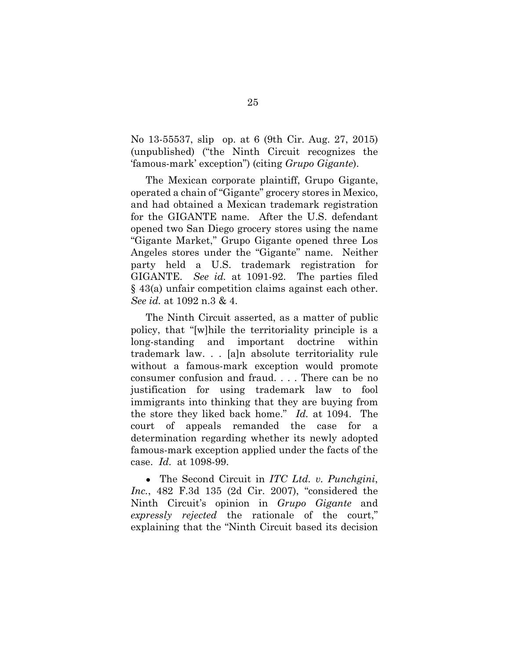No 13-55537, slip op. at 6 (9th Cir. Aug. 27, 2015) (unpublished) ("the Ninth Circuit recognizes the 'famous-mark' exception") (citing *Grupo Gigante*).

 The Mexican corporate plaintiff, Grupo Gigante, operated a chain of "Gigante" grocery stores in Mexico, and had obtained a Mexican trademark registration for the GIGANTE name. After the U.S. defendant opened two San Diego grocery stores using the name "Gigante Market," Grupo Gigante opened three Los Angeles stores under the "Gigante" name. Neither party held a U.S. trademark registration for GIGANTE. *See id.* at 1091-92. The parties filed § 43(a) unfair competition claims against each other. *See id.* at 1092 n.3 & 4.

<span id="page-38-0"></span>The Ninth Circuit asserted, as a matter of public policy, that "[w]hile the territoriality principle is a long-standing and important doctrine within trademark law. . . [a]n absolute territoriality rule without a famous-mark exception would promote consumer confusion and fraud. . . . There can be no justification for using trademark law to fool immigrants into thinking that they are buying from the store they liked back home." *Id.* at 1094. The court of appeals remanded the case for a determination regarding whether its newly adopted famous-mark exception applied under the facts of the case. *Id.* at 1098-99.

<span id="page-38-1"></span>● The Second Circuit in *ITC Ltd. v. Punchgini*, *Inc.*, 482 F.3d 135 (2d Cir. 2007), "considered the Ninth Circuit's opinion in *Grupo Gigante* and *expressly rejected* the rationale of the court," explaining that the "Ninth Circuit based its decision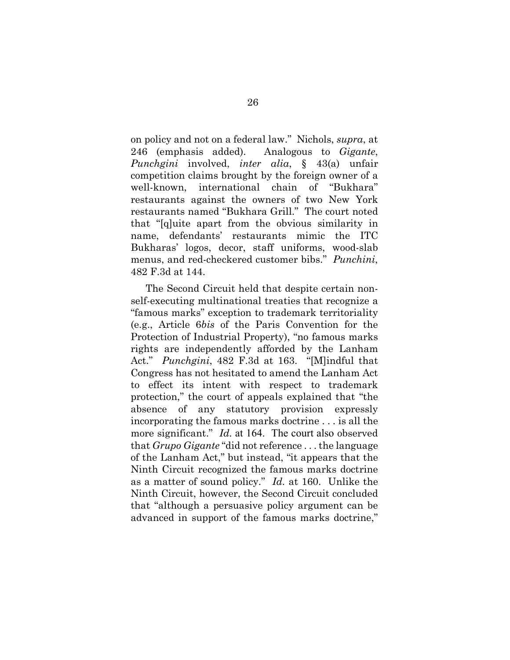on policy and not on a federal law." Nichols, *supra*, at 246 (emphasis added). Analogous to *Gigante*, *Punchgini* involved, *inter alia*, § 43(a) unfair competition claims brought by the foreign owner of a well-known, international chain of "Bukhara" restaurants against the owners of two New York restaurants named "Bukhara Grill." The court noted that "[q]uite apart from the obvious similarity in name, defendants' restaurants mimic the ITC Bukharas' logos, decor, staff uniforms, wood-slab menus, and red-checkered customer bibs." *Punchini*, 482 F.3d at 144.

<span id="page-39-0"></span>The Second Circuit held that despite certain nonself-executing multinational treaties that recognize a "famous marks" exception to trademark territoriality (e.g., Article 6*bis* of the Paris Convention for the Protection of Industrial Property), "no famous marks rights are independently afforded by the Lanham Act." *Punchgini*, 482 F.3d at 163. "[M]indful that Congress has not hesitated to amend the Lanham Act to effect its intent with respect to trademark protection," the court of appeals explained that "the absence of any statutory provision expressly incorporating the famous marks doctrine . . . is all the more significant." *Id.* at 164. The court also observed that *Grupo Gigante* "did not reference . . . the language of the Lanham Act," but instead, "it appears that the Ninth Circuit recognized the famous marks doctrine as a matter of sound policy." *Id.* at 160.Unlike the Ninth Circuit, however, the Second Circuit concluded that "although a persuasive policy argument can be advanced in support of the famous marks doctrine,"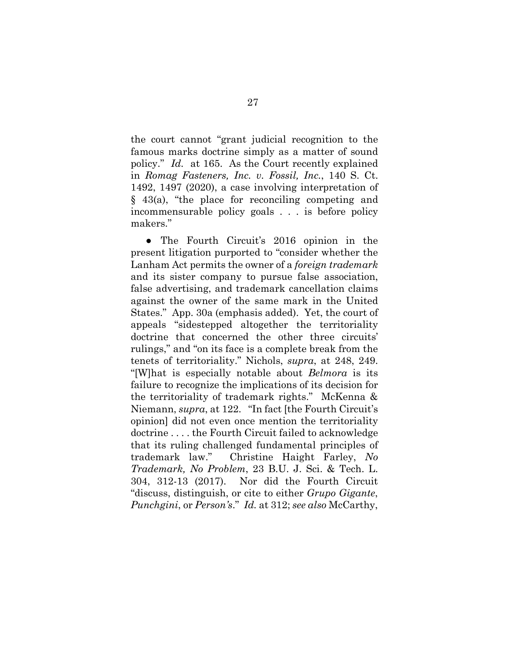<span id="page-40-0"></span>the court cannot "grant judicial recognition to the famous marks doctrine simply as a matter of sound policy." *Id.* at 165. As the Court recently explained in *Romag Fasteners, Inc. v. Fossil, Inc.*, 140 S. Ct. 1492, 1497 (2020), a case involving interpretation of § 43(a), "the place for reconciling competing and incommensurable policy goals . . . is before policy makers."

<span id="page-40-1"></span>• The Fourth Circuit's 2016 opinion in the present litigation purported to "consider whether the Lanham Act permits the owner of a *foreign trademark* and its sister company to pursue false association, false advertising, and trademark cancellation claims against the owner of the same mark in the United States." App. 30a (emphasis added). Yet, the court of appeals "sidestepped altogether the territoriality doctrine that concerned the other three circuits' rulings," and "on its face is a complete break from the tenets of territoriality." Nichols, *supra*, at 248, 249. "[W]hat is especially notable about *Belmora* is its failure to recognize the implications of its decision for the territoriality of trademark rights." McKenna & Niemann, *supra*, at 122. "In fact [the Fourth Circuit's opinion] did not even once mention the territoriality doctrine . . . . the Fourth Circuit failed to acknowledge that its ruling challenged fundamental principles of trademark law." Christine Haight Farley, *No Trademark, No Problem*, 23 B.U. J. Sci. & Tech. L. 304, 312-13 (2017). Nor did the Fourth Circuit "discuss, distinguish, or cite to either *Grupo Gigante*, *Punchgini*, or *Person's*." *Id.* at 312; *see also* McCarthy,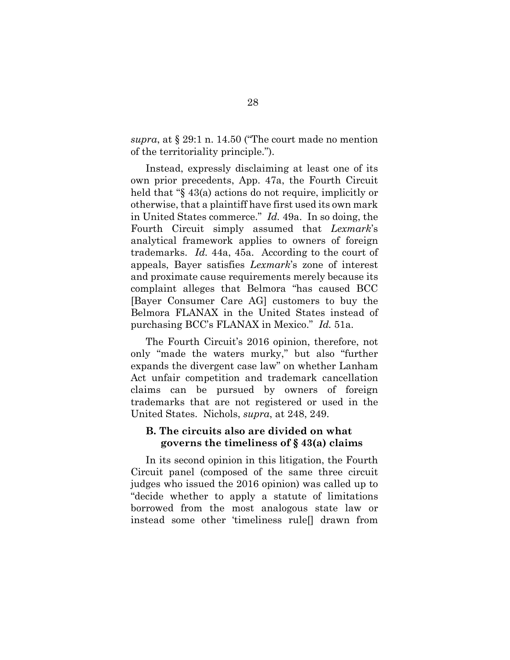*supra*, at § 29:1 n. 14.50 ("The court made no mention of the territoriality principle.").

Instead, expressly disclaiming at least one of its own prior precedents, App. 47a, the Fourth Circuit held that "§ 43(a) actions do not require, implicitly or otherwise, that a plaintiff have first used its own mark in United States commerce." *Id.* 49a. In so doing, the Fourth Circuit simply assumed that *Lexmark*'s analytical framework applies to owners of foreign trademarks. *Id.* 44a, 45a. According to the court of appeals, Bayer satisfies *Lexmark*'s zone of interest and proximate cause requirements merely because its complaint alleges that Belmora "has caused BCC [Bayer Consumer Care AG] customers to buy the Belmora FLANAX in the United States instead of purchasing BCC's FLANAX in Mexico." *Id.* 51a.

The Fourth Circuit's 2016 opinion, therefore, not only "made the waters murky," but also "further expands the divergent case law" on whether Lanham Act unfair competition and trademark cancellation claims can be pursued by owners of foreign trademarks that are not registered or used in the United States. Nichols, *supra*, at 248, 249.

### **B. The circuits also are divided on what governs the timeliness of § 43(a) claims**

In its second opinion in this litigation, the Fourth Circuit panel (composed of the same three circuit judges who issued the 2016 opinion) was called up to "decide whether to apply a statute of limitations borrowed from the most analogous state law or instead some other 'timeliness rule[] drawn from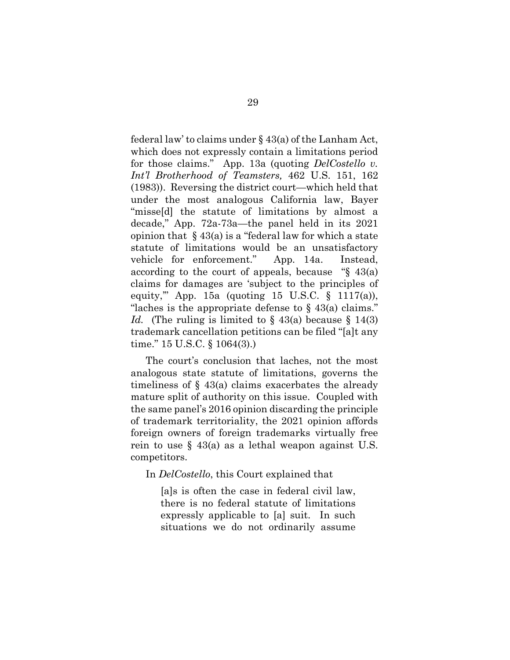<span id="page-42-0"></span>federal law' to claims under § 43(a) of the Lanham Act, which does not expressly contain a limitations period for those claims." App. 13a (quoting *DelCostello v. Int'l Brotherhood of Teamsters,* 462 U.S. 151, 162 (1983)). Reversing the district court—which held that under the most analogous California law, Bayer "misse[d] the statute of limitations by almost a decade," App. 72a-73a—the panel held in its 2021 opinion that  $\S 43(a)$  is a "federal law for which a state statute of limitations would be an unsatisfactory vehicle for enforcement." App. 14a. Instead, according to the court of appeals, because "§ 43(a) claims for damages are 'subject to the principles of equity," App. 15a (quoting 15 U.S.C.  $\S$  1117(a)), "laches is the appropriate defense to  $\S$  43(a) claims." *Id.* (The ruling is limited to  $\S$  43(a) because  $\S$  14(3) trademark cancellation petitions can be filed "[a]t any time." 15 U.S.C. § 1064(3).)

<span id="page-42-1"></span>The court's conclusion that laches, not the most analogous state statute of limitations, governs the timeliness of § 43(a) claims exacerbates the already mature split of authority on this issue. Coupled with the same panel's 2016 opinion discarding the principle of trademark territoriality, the 2021 opinion affords foreign owners of foreign trademarks virtually free rein to use  $\S$  43(a) as a lethal weapon against U.S. competitors.

In *DelCostello*, this Court explained that

 [a]s is often the case in federal civil law, there is no federal statute of limitations expressly applicable to [a] suit. In such situations we do not ordinarily assume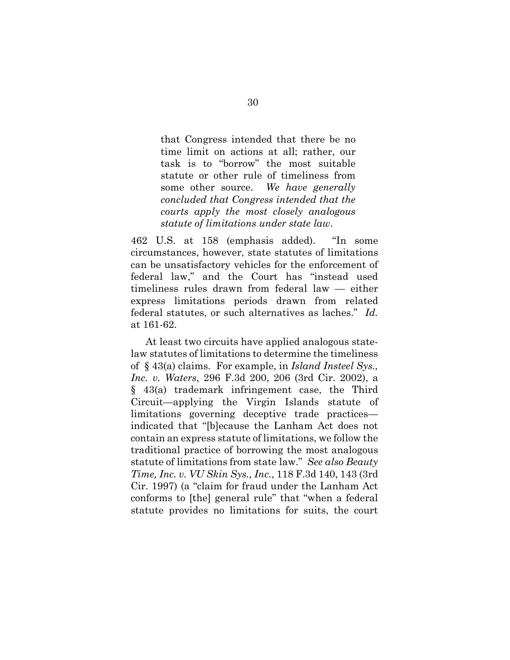that Congress intended that there be no time limit on actions at all; rather, our task is to "borrow" the most suitable statute or other rule of timeliness from some other source. *We have generally concluded that Congress intended that the courts apply the most closely analogous statute of limitations under state law*.

<span id="page-43-1"></span>462 U.S. at 158 (emphasis added). "In some circumstances, however, state statutes of limitations can be unsatisfactory vehicles for the enforcement of federal law," and the Court has "instead used timeliness rules drawn from federal law — either express limitations periods drawn from related federal statutes, or such alternatives as laches." *Id.* at 161-62.

<span id="page-43-2"></span><span id="page-43-0"></span> At least two circuits have applied analogous statelaw statutes of limitations to determine the timeliness of § 43(a) claims. For example, in *Island Insteel Sys., Inc. v. Waters*, 296 F.3d 200, 206 (3rd Cir. 2002), a § 43(a) trademark infringement case, the Third Circuit—applying the Virgin Islands statute of limitations governing deceptive trade practices indicated that "[b]ecause the Lanham Act does not contain an express statute of limitations, we follow the traditional practice of borrowing the most analogous statute of limitations from state law." *See also Beauty Time, Inc. v. VU Skin Sys., Inc.*, 118 F.3d 140, 143 (3rd Cir. 1997) (a "claim for fraud under the Lanham Act conforms to [the] general rule" that "when a federal statute provides no limitations for suits, the court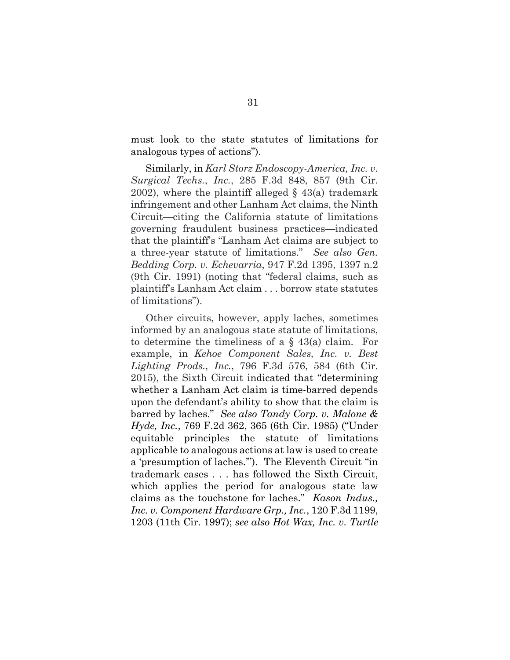must look to the state statutes of limitations for analogous types of actions").

<span id="page-44-2"></span> Similarly, in *Karl Storz Endoscopy-America, Inc. v. Surgical Techs.*, *Inc.*, 285 F.3d 848, 857 (9th Cir. 2002), where the plaintiff alleged  $\S$  43(a) trademark infringement and other Lanham Act claims, the Ninth Circuit—citing the California statute of limitations governing fraudulent business practices—indicated that the plaintiff's "Lanham Act claims are subject to a three-year statute of limitations." *See also Gen. Bedding Corp. v. Echevarria*, 947 F.2d 1395, 1397 n.2 (9th Cir. 1991) (noting that "federal claims, such as plaintiff's Lanham Act claim . . . borrow state statutes of limitations").

<span id="page-44-5"></span><span id="page-44-4"></span><span id="page-44-3"></span><span id="page-44-1"></span><span id="page-44-0"></span>Other circuits, however, apply laches, sometimes informed by an analogous state statute of limitations, to determine the timeliness of a  $\S$  43(a) claim. For example, in *Kehoe Component Sales, Inc. v. Best Lighting Prods., Inc.*, 796 F.3d 576, 584 (6th Cir. 2015), the Sixth Circuit indicated that "determining whether a Lanham Act claim is time-barred depends upon the defendant's ability to show that the claim is barred by laches." *See also Tandy Corp. v. Malone & Hyde, Inc.*, 769 F.2d 362, 365 (6th Cir. 1985) ("Under equitable principles the statute of limitations applicable to analogous actions at law is used to create a 'presumption of laches.'"). The Eleventh Circuit "in trademark cases . . . has followed the Sixth Circuit, which applies the period for analogous state law claims as the touchstone for laches." *Kason Indus., Inc. v. Component Hardware Grp., Inc.*, 120 F.3d 1199, 1203 (11th Cir. 1997); *see also Hot Wax, Inc. v. Turtle*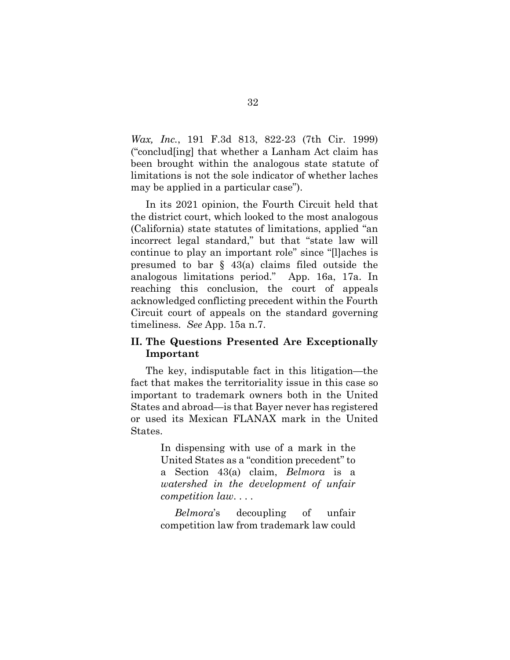*Wax, Inc.*, 191 F.3d 813, 822-23 (7th Cir. 1999) ("conclud[ing] that whether a Lanham Act claim has been brought within the analogous state statute of limitations is not the sole indicator of whether laches may be applied in a particular case").

In its 2021 opinion, the Fourth Circuit held that the district court, which looked to the most analogous (California) state statutes of limitations, applied "an incorrect legal standard," but that "state law will continue to play an important role" since "[l]aches is presumed to bar § 43(a) claims filed outside the analogous limitations period." App. 16a, 17a. In reaching this conclusion, the court of appeals acknowledged conflicting precedent within the Fourth Circuit court of appeals on the standard governing timeliness. *See* App. 15a n.7.

## **II. The Questions Presented Are Exceptionally Important**

The key, indisputable fact in this litigation—the fact that makes the territoriality issue in this case so important to trademark owners both in the United States and abroad—is that Bayer never has registered or used its Mexican FLANAX mark in the United States.

> In dispensing with use of a mark in the United States as a "condition precedent" to a Section 43(a) claim, *Belmora* is a *watershed in the development of unfair competition law*. . . .

> *Belmora*'s decoupling of unfair competition law from trademark law could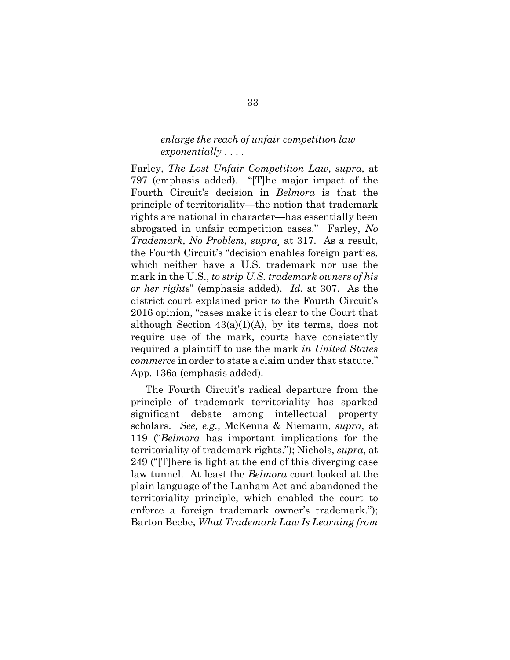### *enlarge the reach of unfair competition law exponentially* . . . .

Farley, *The Lost Unfair Competition Law*, *supra*, at 797 (emphasis added). "[T]he major impact of the Fourth Circuit's decision in *Belmora* is that the principle of territoriality—the notion that trademark rights are national in character—has essentially been abrogated in unfair competition cases." Farley, *No Trademark, No Problem*, *supra*¸ at 317. As a result, the Fourth Circuit's "decision enables foreign parties, which neither have a U.S. trademark nor use the mark in the U.S., *to strip U.S. trademark owners of his or her rights*" (emphasis added). *Id.* at 307. As the district court explained prior to the Fourth Circuit's 2016 opinion, "cases make it is clear to the Court that although Section  $43(a)(1)(A)$ , by its terms, does not require use of the mark, courts have consistently required a plaintiff to use the mark *in United States commerce* in order to state a claim under that statute." App. 136a (emphasis added).

The Fourth Circuit's radical departure from the principle of trademark territoriality has sparked significant debate among intellectual property scholars. *See, e.g.*, McKenna & Niemann, *supra*, at 119 ("*Belmora* has important implications for the territoriality of trademark rights."); Nichols, *supra*, at 249 ("[T]here is light at the end of this diverging case law tunnel. At least the *Belmora* court looked at the plain language of the Lanham Act and abandoned the territoriality principle, which enabled the court to enforce a foreign trademark owner's trademark."); Barton Beebe, *What Trademark Law Is Learning from*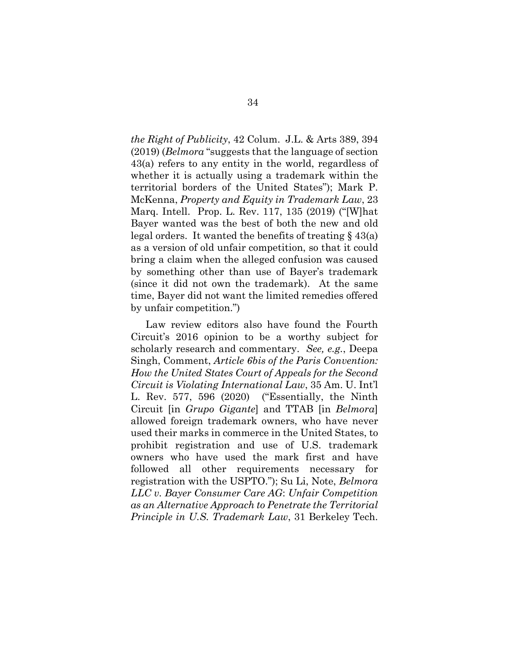*the Right of Publicity*, 42 Colum. J.L. & Arts 389, 394 (2019) (*Belmora* "suggests that the language of section 43(a) refers to any entity in the world, regardless of whether it is actually using a trademark within the territorial borders of the United States"); Mark P. McKenna, *Property and Equity in Trademark Law*, 23 Marq. Intell. Prop. L. Rev. 117, 135 (2019) ("[W]hat Bayer wanted was the best of both the new and old legal orders. It wanted the benefits of treating § 43(a) as a version of old unfair competition, so that it could bring a claim when the alleged confusion was caused by something other than use of Bayer's trademark (since it did not own the trademark). At the same time, Bayer did not want the limited remedies offered by unfair competition.")

Law review editors also have found the Fourth Circuit's 2016 opinion to be a worthy subject for scholarly research and commentary. *See, e.g.*, Deepa Singh, Comment, *Article 6bis of the Paris Convention: How the United States Court of Appeals for the Second Circuit is Violating International Law*, 35 Am. U. Int'l L. Rev. 577, 596 (2020) ("Essentially, the Ninth Circuit [in *Grupo Gigante*] and TTAB [in *Belmora*] allowed foreign trademark owners, who have never used their marks in commerce in the United States, to prohibit registration and use of U.S. trademark owners who have used the mark first and have followed all other requirements necessary for registration with the USPTO."); Su Li, Note, *Belmora LLC v. Bayer Consumer Care AG*: *Unfair Competition as an Alternative Approach to Penetrate the Territorial Principle in U.S. Trademark Law*, 31 Berkeley Tech.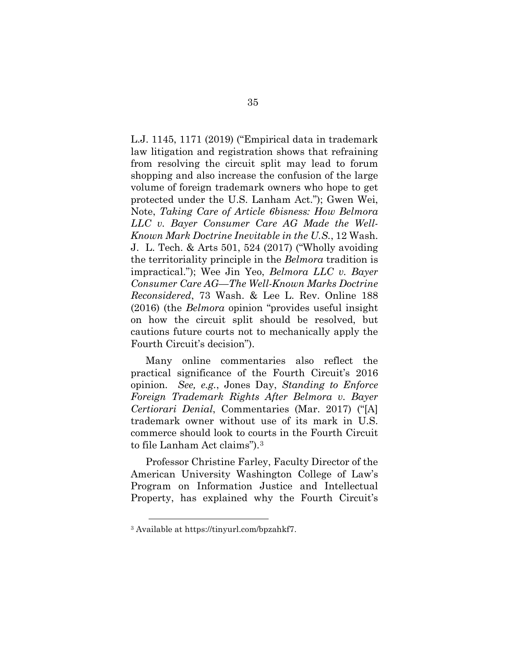L.J. 1145, 1171 (2019) ("Empirical data in trademark law litigation and registration shows that refraining from resolving the circuit split may lead to forum shopping and also increase the confusion of the large volume of foreign trademark owners who hope to get protected under the U.S. Lanham Act."); Gwen Wei, Note, *Taking Care of Article 6bisness: How Belmora LLC v. Bayer Consumer Care AG Made the Well-Known Mark Doctrine Inevitable in the U.S.*, 12 Wash. J. L. Tech. & Arts 501, 524 (2017) ("Wholly avoiding the territoriality principle in the *Belmora* tradition is impractical."); Wee Jin Yeo, *Belmora LLC v. Bayer Consumer Care AG—The Well-Known Marks Doctrine Reconsidered*, 73 Wash. & Lee L. Rev. Online 188 (2016) (the *Belmora* opinion "provides useful insight on how the circuit split should be resolved, but cautions future courts not to mechanically apply the Fourth Circuit's decision").

Many online commentaries also reflect the practical significance of the Fourth Circuit's 2016 opinion. *See, e.g.*, Jones Day, *Standing to Enforce Foreign Trademark Rights After Belmora v. Bayer Certiorari Denial*, Commentaries (Mar. 2017) ("[A] trademark owner without use of its mark in U.S. commerce should look to courts in the Fourth Circuit to file Lanham Act claims").[3](#page-48-0) 

Professor Christine Farley, Faculty Director of the American University Washington College of Law's Program on Information Justice and Intellectual Property, has explained why the Fourth Circuit's

<span id="page-48-0"></span><sup>3</sup> Available at https://tinyurl.com/bpzahkf7.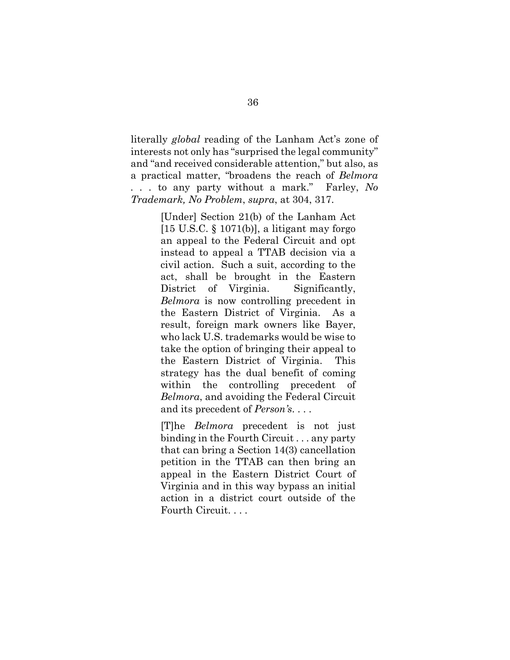literally *global* reading of the Lanham Act's zone of interests not only has "surprised the legal community" and "and received considerable attention," but also, as a practical matter, "broadens the reach of *Belmora . . .* to any party without a mark." Farley, *No Trademark, No Problem*, *supra*, at 304, 317.

> [Under] Section 21(b) of the Lanham Act [15 U.S.C. § 1071(b)], a litigant may forgo an appeal to the Federal Circuit and opt instead to appeal a TTAB decision via a civil action. Such a suit, according to the act, shall be brought in the Eastern District of Virginia. Significantly, *Belmora* is now controlling precedent in the Eastern District of Virginia. As a result, foreign mark owners like Bayer, who lack U.S. trademarks would be wise to take the option of bringing their appeal to the Eastern District of Virginia. This strategy has the dual benefit of coming within the controlling precedent of *Belmora*, and avoiding the Federal Circuit and its precedent of *Person's*. . . .

> [T]he *Belmora* precedent is not just binding in the Fourth Circuit . . . any party that can bring a Section 14(3) cancellation petition in the TTAB can then bring an appeal in the Eastern District Court of Virginia and in this way bypass an initial action in a district court outside of the Fourth Circuit. . . .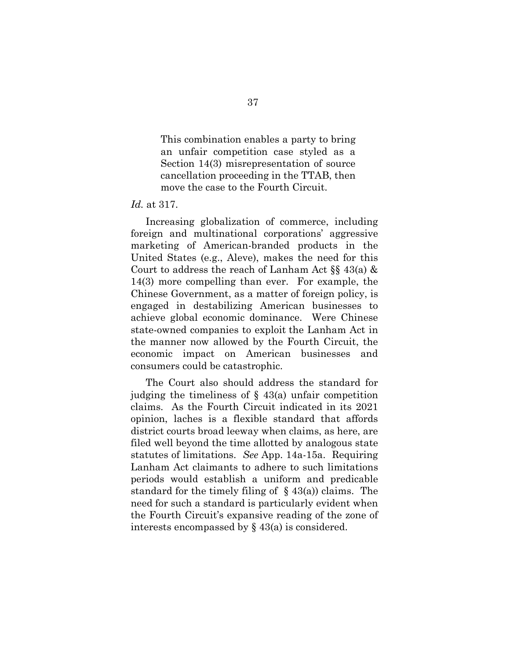This combination enables a party to bring an unfair competition case styled as a Section 14(3) misrepresentation of source cancellation proceeding in the TTAB, then move the case to the Fourth Circuit.

#### *Id.* at 317.

Increasing globalization of commerce, including foreign and multinational corporations' aggressive marketing of American-branded products in the United States (e.g., Aleve), makes the need for this Court to address the reach of Lanham Act §§ 43(a) & 14(3) more compelling than ever. For example, the Chinese Government, as a matter of foreign policy, is engaged in destabilizing American businesses to achieve global economic dominance. Were Chinese state-owned companies to exploit the Lanham Act in the manner now allowed by the Fourth Circuit, the economic impact on American businesses and consumers could be catastrophic.

The Court also should address the standard for judging the timeliness of  $\S$  43(a) unfair competition claims. As the Fourth Circuit indicated in its 2021 opinion, laches is a flexible standard that affords district courts broad leeway when claims, as here, are filed well beyond the time allotted by analogous state statutes of limitations. *See* App. 14a-15a. Requiring Lanham Act claimants to adhere to such limitations periods would establish a uniform and predicable standard for the timely filing of  $\S$  43(a)) claims. The need for such a standard is particularly evident when the Fourth Circuit's expansive reading of the zone of interests encompassed by § 43(a) is considered.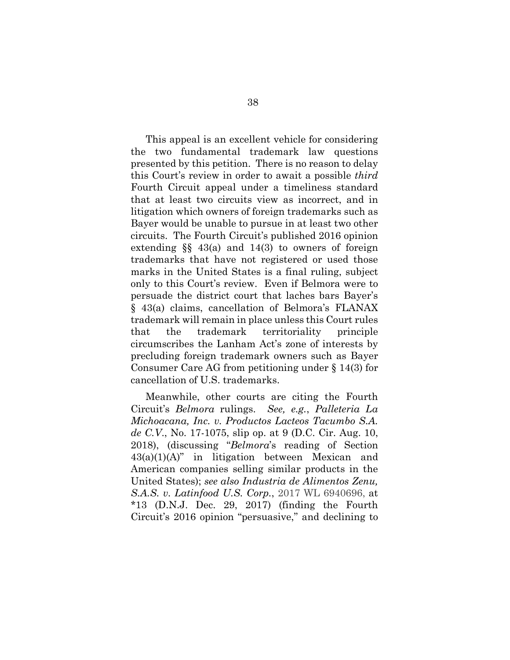This appeal is an excellent vehicle for considering the two fundamental trademark law questions presented by this petition. There is no reason to delay this Court's review in order to await a possible *third* Fourth Circuit appeal under a timeliness standard that at least two circuits view as incorrect, and in litigation which owners of foreign trademarks such as Bayer would be unable to pursue in at least two other circuits. The Fourth Circuit's published 2016 opinion extending  $\S$  43(a) and 14(3) to owners of foreign trademarks that have not registered or used those marks in the United States is a final ruling, subject only to this Court's review. Even if Belmora were to persuade the district court that laches bars Bayer's § 43(a) claims, cancellation of Belmora's FLANAX trademark will remain in place unless this Court rules that the trademark territoriality principle circumscribes the Lanham Act's zone of interests by precluding foreign trademark owners such as Bayer Consumer Care AG from petitioning under § 14(3) for cancellation of U.S. trademarks.

<span id="page-51-1"></span><span id="page-51-0"></span>Meanwhile, other courts are citing the Fourth Circuit's *Belmora* rulings. *See, e.g.*, *Palleteria La Michoacana, Inc. v. Productos Lacteos Tacumbo S.A. de C.V*., No. 17-1075, slip op. at 9 (D.C. Cir. Aug. 10, 2018), (discussing "*Belmora*'s reading of Section  $43(a)(1)(A)$ " in litigation between Mexican and American companies selling similar products in the United States); *see also Industria de Alimentos Zenu, S.A.S. v. Latinfood U.S. Corp.*, 2017 WL 6940696, at  $*13$  (D.N.J. Dec. 29, 2017) (finding the Fourth Circuit's 2016 opinion "persuasive," and declining to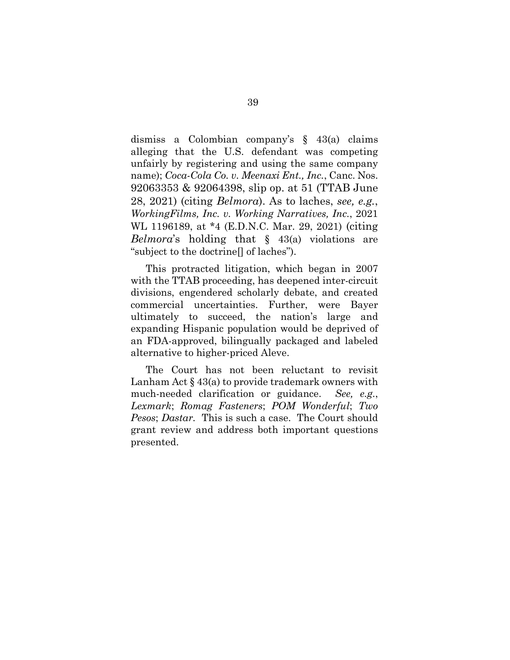dismiss a Colombian company's § 43(a) claims alleging that the U.S. defendant was competing unfairly by registering and using the same company name); *Coca-Cola Co. v. Meenaxi Ent., Inc.*, Canc. Nos. 92063353 & 92064398, slip op. at 51 (TTAB June 28, 2021) (citing *Belmora*). As to laches, *see, e.g.*, *WorkingFilms, Inc. v. Working Narratives, Inc.*, 2021 WL 1196189, at \*4 (E.D.N.C. Mar. 29, 2021) (citing *Belmora*'s holding that § 43(a) violations are "subject to the doctrine[] of laches").

 This protracted litigation, which began in 2007 with the TTAB proceeding, has deepened inter-circuit divisions, engendered scholarly debate, and created commercial uncertainties. Further, were Bayer ultimately to succeed, the nation's large and expanding Hispanic population would be deprived of an FDA-approved, bilingually packaged and labeled alternative to higher-priced Aleve.

The Court has not been reluctant to revisit Lanham Act  $\S 43(a)$  to provide trademark owners with much-needed clarification or guidance. *See, e.g.*, *Lexmark*; *Romag Fasteners*; *POM Wonderful*; *Two Pesos*; *Dastar.* This is such a case. The Court should grant review and address both important questions presented.